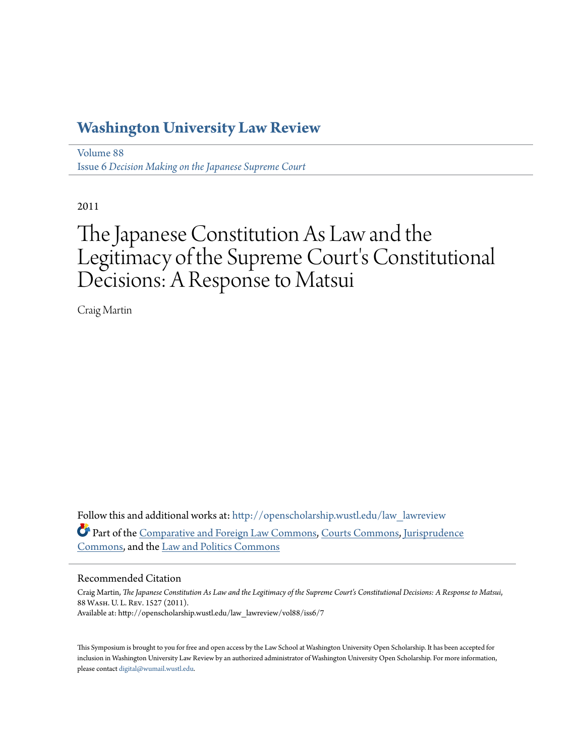# **[Washington University Law Review](http://openscholarship.wustl.edu/law_lawreview?utm_source=openscholarship.wustl.edu%2Flaw_lawreview%2Fvol88%2Fiss6%2F7&utm_medium=PDF&utm_campaign=PDFCoverPages)**

[Volume 88](http://openscholarship.wustl.edu/law_lawreview/vol88?utm_source=openscholarship.wustl.edu%2Flaw_lawreview%2Fvol88%2Fiss6%2F7&utm_medium=PDF&utm_campaign=PDFCoverPages) Issue 6 *[Decision Making on the Japanese Supreme Court](http://openscholarship.wustl.edu/law_lawreview/vol88/iss6?utm_source=openscholarship.wustl.edu%2Flaw_lawreview%2Fvol88%2Fiss6%2F7&utm_medium=PDF&utm_campaign=PDFCoverPages)*

2011

# The Japanese Constitution As Law and the Legitimacy of the Supreme Court's Constitutional Decisions: A Response to Matsui

Craig Martin

Follow this and additional works at: [http://openscholarship.wustl.edu/law\\_lawreview](http://openscholarship.wustl.edu/law_lawreview?utm_source=openscholarship.wustl.edu%2Flaw_lawreview%2Fvol88%2Fiss6%2F7&utm_medium=PDF&utm_campaign=PDFCoverPages) Part of the [Comparative and Foreign Law Commons](http://network.bepress.com/hgg/discipline/836?utm_source=openscholarship.wustl.edu%2Flaw_lawreview%2Fvol88%2Fiss6%2F7&utm_medium=PDF&utm_campaign=PDFCoverPages), [Courts Commons,](http://network.bepress.com/hgg/discipline/839?utm_source=openscholarship.wustl.edu%2Flaw_lawreview%2Fvol88%2Fiss6%2F7&utm_medium=PDF&utm_campaign=PDFCoverPages) [Jurisprudence](http://network.bepress.com/hgg/discipline/610?utm_source=openscholarship.wustl.edu%2Flaw_lawreview%2Fvol88%2Fiss6%2F7&utm_medium=PDF&utm_campaign=PDFCoverPages) [Commons,](http://network.bepress.com/hgg/discipline/610?utm_source=openscholarship.wustl.edu%2Flaw_lawreview%2Fvol88%2Fiss6%2F7&utm_medium=PDF&utm_campaign=PDFCoverPages) and the [Law and Politics Commons](http://network.bepress.com/hgg/discipline/867?utm_source=openscholarship.wustl.edu%2Flaw_lawreview%2Fvol88%2Fiss6%2F7&utm_medium=PDF&utm_campaign=PDFCoverPages)

# Recommended Citation

Craig Martin, *The Japanese Constitution As Law and the Legitimacy of the Supreme Court's Constitutional Decisions: A Response to Matsui*, 88 Wash. U. L. Rev. 1527 (2011). Available at: http://openscholarship.wustl.edu/law\_lawreview/vol88/iss6/7

This Symposium is brought to you for free and open access by the Law School at Washington University Open Scholarship. It has been accepted for inclusion in Washington University Law Review by an authorized administrator of Washington University Open Scholarship. For more information, please contact [digital@wumail.wustl.edu.](mailto:digital@wumail.wustl.edu)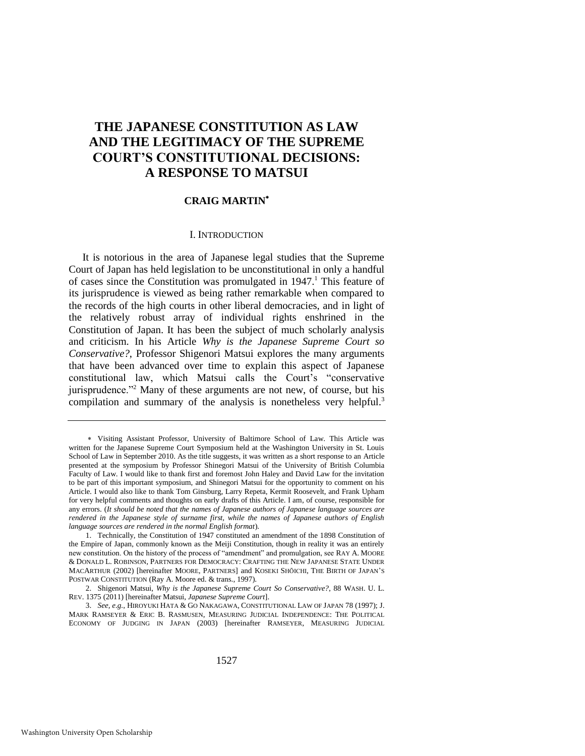# **THE JAPANESE CONSTITUTION AS LAW AND THE LEGITIMACY OF THE SUPREME COURT'S CONSTITUTIONAL DECISIONS: A RESPONSE TO MATSUI**

# **CRAIG MARTIN**

#### <span id="page-1-2"></span><span id="page-1-1"></span>I. INTRODUCTION

It is notorious in the area of Japanese legal studies that the Supreme Court of Japan has held legislation to be unconstitutional in only a handful of cases since the Constitution was promulgated in  $1947$ .<sup>1</sup> This feature of its jurisprudence is viewed as being rather remarkable when compared to the records of the high courts in other liberal democracies, and in light of the relatively robust array of individual rights enshrined in the Constitution of Japan. It has been the subject of much scholarly analysis and criticism. In his Article *Why is the Japanese Supreme Court so Conservative?*, Professor Shigenori Matsui explores the many arguments that have been advanced over time to explain this aspect of Japanese constitutional law, which Matsui calls the Court's "conservative jurisprudence."<sup>2</sup> Many of these arguments are not new, of course, but his compilation and summary of the analysis is nonetheless very helpful.<sup>3</sup>

<span id="page-1-0"></span>Visiting Assistant Professor, University of Baltimore School of Law. This Article was written for the Japanese Supreme Court Symposium held at the Washington University in St. Louis School of Law in September 2010. As the title suggests, it was written as a short response to an Article presented at the symposium by Professor Shinegori Matsui of the University of British Columbia Faculty of Law. I would like to thank first and foremost John Haley and David Law for the invitation to be part of this important symposium, and Shinegori Matsui for the opportunity to comment on his Article. I would also like to thank Tom Ginsburg, Larry Repeta, Kermit Roosevelt, and Frank Upham for very helpful comments and thoughts on early drafts of this Article. I am, of course, responsible for any errors. (*It should be noted that the names of Japanese authors of Japanese language sources are rendered in the Japanese style of surname first, while the names of Japanese authors of English language sources are rendered in the normal English format*).

<sup>1.</sup> Technically, the Constitution of 1947 constituted an amendment of the 1898 Constitution of the Empire of Japan, commonly known as the Meiji Constitution, though in reality it was an entirely new constitution. On the history of the process of "amendment" and promulgation, see RAY A. MOORE & DONALD L. ROBINSON, PARTNERS FOR DEMOCRACY: CRAFTING THE NEW JAPANESE STATE UNDER MACARTHUR (2002) [hereinafter MOORE, PARTNERS] and KOSEKI SHŌICHI, THE BIRTH OF JAPAN'S POSTWAR CONSTITUTION (Ray A. Moore ed. & trans., 1997).

<sup>2.</sup> Shigenori Matsui, *Why is the Japanese Supreme Court So Conservative?*, 88 WASH. U. L. REV. 1375 (2011) [hereinafter Matsui, *Japanese Supreme Court*].

<sup>3.</sup> *See, e.g.*, HIROYUKI HATA & GO NAKAGAWA, CONSTITUTIONAL LAW OF JAPAN 78 (1997); J. MARK RAMSEYER & ERIC B. RASMUSEN, MEASURING JUDICIAL INDEPENDENCE: THE POLITICAL ECONOMY OF JUDGING IN JAPAN (2003) [hereinafter RAMSEYER, MEASURING JUDICIAL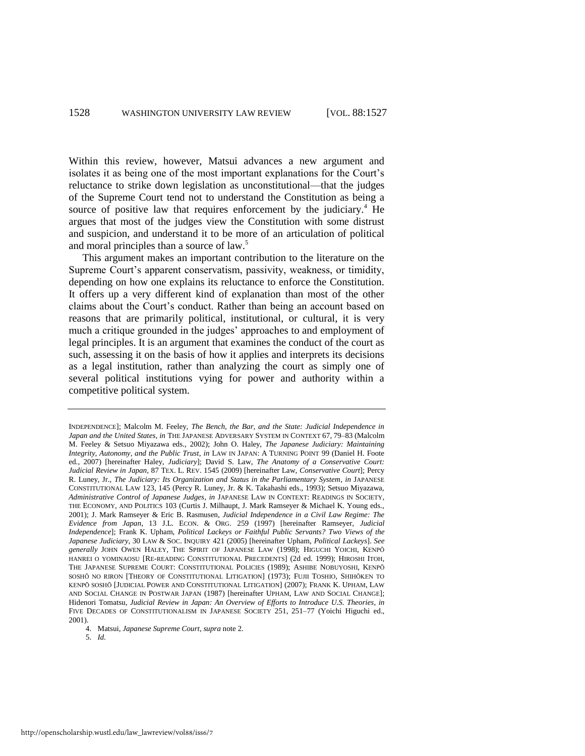<span id="page-2-0"></span>Within this review, however, Matsui advances a new argument and isolates it as being one of the most important explanations for the Court's reluctance to strike down legislation as unconstitutional—that the judges of the Supreme Court tend not to understand the Constitution as being a source of positive law that requires enforcement by the judiciary.<sup>4</sup> He argues that most of the judges view the Constitution with some distrust and suspicion, and understand it to be more of an articulation of political and moral principles than a source of law.<sup>5</sup>

This argument makes an important contribution to the literature on the Supreme Court's apparent conservatism, passivity, weakness, or timidity, depending on how one explains its reluctance to enforce the Constitution. It offers up a very different kind of explanation than most of the other claims about the Court's conduct. Rather than being an account based on reasons that are primarily political, institutional, or cultural, it is very much a critique grounded in the judges' approaches to and employment of legal principles. It is an argument that examines the conduct of the court as such, assessing it on the basis of how it applies and interprets its decisions as a legal institution, rather than analyzing the court as simply one of several political institutions vying for power and authority within a competitive political system.

INDEPENDENCE]; Malcolm M. Feeley, *The Bench, the Bar, and the State: Judicial Independence in Japan and the United States*, *in* THE JAPANESE ADVERSARY SYSTEM IN CONTEXT 67, 79–83 (Malcolm M. Feeley & Setsuo Miyazawa eds., 2002); John O. Haley, *The Japanese Judiciary: Maintaining Integrity, Autonomy, and the Public Trust*, *in* LAW IN JAPAN: A TURNING POINT 99 (Daniel H. Foote ed., 2007) [hereinafter Haley, *Judiciary*]; David S. Law, *The Anatomy of a Conservative Court: Judicial Review in Japan*, 87 TEX. L. REV. 1545 (2009) [hereinafter Law, *Conservative Court*]; Percy R. Luney, Jr., *The Judiciary: Its Organization and Status in the Parliamentary System*, *in* JAPANESE CONSTITUTIONAL LAW 123, 145 (Percy R. Luney, Jr. & K. Takahashi eds., 1993); Setsuo Miyazawa, *Administrative Control of Japanese Judges*, *in* JAPANESE LAW IN CONTEXT: READINGS IN SOCIETY, THE ECONOMY, AND POLITICS 103 (Curtis J. Milhaupt, J. Mark Ramseyer & Michael K. Young eds., 2001); J. Mark Ramseyer & Eric B. Rasmusen, *Judicial Independence in a Civil Law Regime: The Evidence from Japan*, 13 J.L. ECON. & ORG. 259 (1997) [hereinafter Ramseyer, *Judicial Independence*]; Frank K. Upham, *Political Lackeys or Faithful Public Servants? Two Views of the Japanese Judiciary*, 30 LAW & SOC. INQUIRY 421 (2005) [hereinafter Upham, *Political Lackeys*]. *See generally* JOHN OWEN HALEY, THE SPIRIT OF JAPANESE LAW (1998); HIGUCHI YOICHI, KENPŌ HANREI O YOMINAOSU [RE-READING CONSTITUTIONAL PRECEDENTS] (2d ed. 1999); HIROSHI ITOH, THE JAPANESE SUPREME COURT: CONSTITUTIONAL POLICIES (1989); ASHIBE NOBUYOSHI, KENPŌ SOSHŌ NO RIRON [THEORY OF CONSTITUTIONAL LITIGATION] (1973); FUJII TOSHIO, SHIHŌKEN TO KENPŌ SOSHŌ [JUDICIAL POWER AND CONSTITUTIONAL LITIGATION] (2007); FRANK K. UPHAM, LAW AND SOCIAL CHANGE IN POSTWAR JAPAN (1987) [hereinafter UPHAM, LAW AND SOCIAL CHANGE]; Hidenori Tomatsu, *Judicial Review in Japan: An Overview of Efforts to Introduce U.S. Theories*, *in* FIVE DECADES OF CONSTITUTIONALISM IN JAPANESE SOCIETY 251, 251–77 (Yoichi Higuchi ed., 2001).

<sup>4.</sup> Matsui, *Japanese Supreme Court*, *supra* not[e 2.](#page-1-0) 

<sup>5.</sup> *Id.*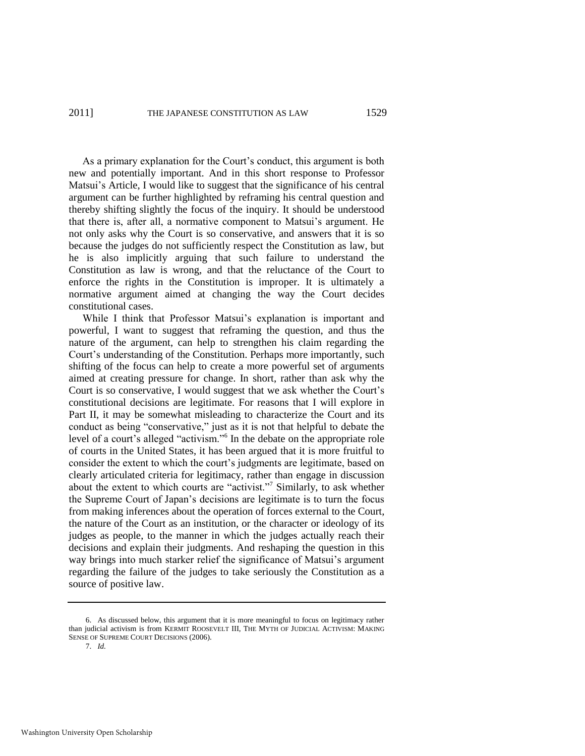# 2011] THE JAPANESE CONSTITUTION AS LAW 1529

As a primary explanation for the Court's conduct, this argument is both new and potentially important. And in this short response to Professor Matsui's Article, I would like to suggest that the significance of his central argument can be further highlighted by reframing his central question and thereby shifting slightly the focus of the inquiry. It should be understood that there is, after all, a normative component to Matsui's argument. He not only asks why the Court is so conservative, and answers that it is so because the judges do not sufficiently respect the Constitution as law, but he is also implicitly arguing that such failure to understand the Constitution as law is wrong, and that the reluctance of the Court to enforce the rights in the Constitution is improper. It is ultimately a normative argument aimed at changing the way the Court decides constitutional cases.

<span id="page-3-0"></span>While I think that Professor Matsui's explanation is important and powerful, I want to suggest that reframing the question, and thus the nature of the argument, can help to strengthen his claim regarding the Court's understanding of the Constitution. Perhaps more importantly, such shifting of the focus can help to create a more powerful set of arguments aimed at creating pressure for change. In short, rather than ask why the Court is so conservative, I would suggest that we ask whether the Court's constitutional decisions are legitimate. For reasons that I will explore in Part II, it may be somewhat misleading to characterize the Court and its conduct as being "conservative," just as it is not that helpful to debate the level of a court's alleged "activism."<sup>6</sup> In the debate on the appropriate role of courts in the United States, it has been argued that it is more fruitful to consider the extent to which the court's judgments are legitimate, based on clearly articulated criteria for legitimacy, rather than engage in discussion about the extent to which courts are "activist."<sup>7</sup> Similarly, to ask whether the Supreme Court of Japan's decisions are legitimate is to turn the focus from making inferences about the operation of forces external to the Court, the nature of the Court as an institution, or the character or ideology of its judges as people, to the manner in which the judges actually reach their decisions and explain their judgments. And reshaping the question in this way brings into much starker relief the significance of Matsui's argument regarding the failure of the judges to take seriously the Constitution as a source of positive law.

7. *Id.*

<sup>6.</sup> As discussed below, this argument that it is more meaningful to focus on legitimacy rather than judicial activism is from KERMIT ROOSEVELT III, THE MYTH OF JUDICIAL ACTIVISM: MAKING SENSE OF SUPREME COURT DECISIONS (2006).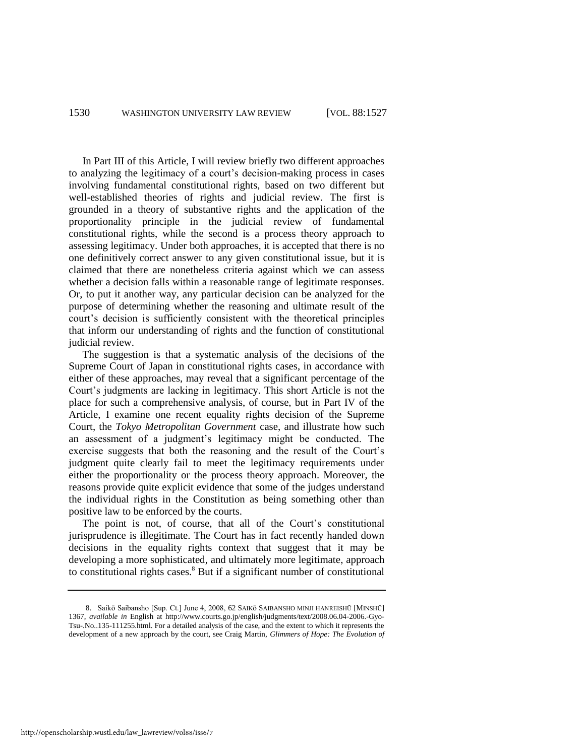In Part III of this Article, I will review briefly two different approaches to analyzing the legitimacy of a court's decision-making process in cases involving fundamental constitutional rights, based on two different but well-established theories of rights and judicial review. The first is grounded in a theory of substantive rights and the application of the proportionality principle in the judicial review of fundamental constitutional rights, while the second is a process theory approach to assessing legitimacy. Under both approaches, it is accepted that there is no one definitively correct answer to any given constitutional issue, but it is claimed that there are nonetheless criteria against which we can assess whether a decision falls within a reasonable range of legitimate responses. Or, to put it another way, any particular decision can be analyzed for the purpose of determining whether the reasoning and ultimate result of the court's decision is sufficiently consistent with the theoretical principles that inform our understanding of rights and the function of constitutional judicial review.

The suggestion is that a systematic analysis of the decisions of the Supreme Court of Japan in constitutional rights cases, in accordance with either of these approaches, may reveal that a significant percentage of the Court's judgments are lacking in legitimacy. This short Article is not the place for such a comprehensive analysis, of course, but in Part IV of the Article, I examine one recent equality rights decision of the Supreme Court, the *Tokyo Metropolitan Government* case, and illustrate how such an assessment of a judgment's legitimacy might be conducted. The exercise suggests that both the reasoning and the result of the Court's judgment quite clearly fail to meet the legitimacy requirements under either the proportionality or the process theory approach. Moreover, the reasons provide quite explicit evidence that some of the judges understand the individual rights in the Constitution as being something other than positive law to be enforced by the courts.

The point is not, of course, that all of the Court's constitutional jurisprudence is illegitimate. The Court has in fact recently handed down decisions in the equality rights context that suggest that it may be developing a more sophisticated, and ultimately more legitimate, approach to constitutional rights cases.<sup>8</sup> But if a significant number of constitutional

<span id="page-4-0"></span><sup>8.</sup> Saikō Saibansho [Sup. Ct.] June 4, 2008, 62 SAIKō SAIBANSHO MINJI HANREISHŪ [MINSHŪ] 1367, *available in* English at http://www.courts.go.jp/english/judgments/text/2008.06.04-2006.-Gyo-Tsu-.No..135-111255.html. For a detailed analysis of the case, and the extent to which it represents the development of a new approach by the court, see Craig Martin, *Glimmers of Hope: The Evolution of*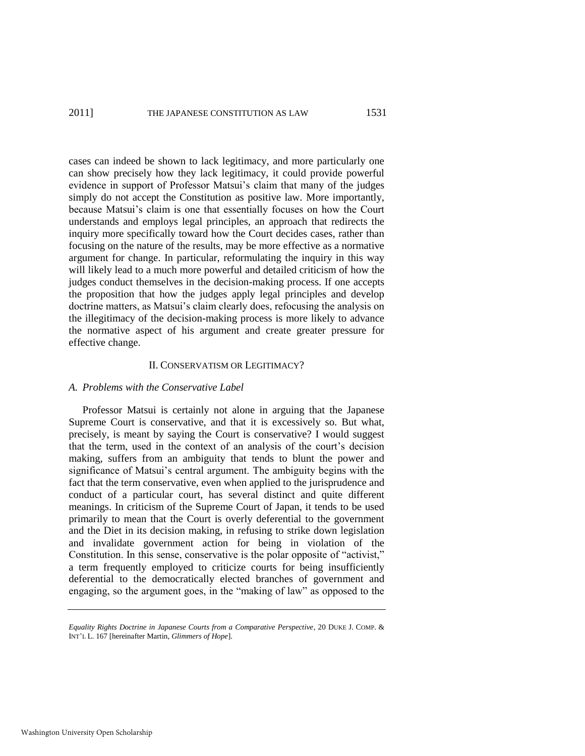cases can indeed be shown to lack legitimacy, and more particularly one can show precisely how they lack legitimacy, it could provide powerful evidence in support of Professor Matsui's claim that many of the judges simply do not accept the Constitution as positive law. More importantly, because Matsui's claim is one that essentially focuses on how the Court understands and employs legal principles, an approach that redirects the inquiry more specifically toward how the Court decides cases, rather than focusing on the nature of the results, may be more effective as a normative argument for change. In particular, reformulating the inquiry in this way will likely lead to a much more powerful and detailed criticism of how the judges conduct themselves in the decision-making process. If one accepts the proposition that how the judges apply legal principles and develop doctrine matters, as Matsui's claim clearly does, refocusing the analysis on the illegitimacy of the decision-making process is more likely to advance the normative aspect of his argument and create greater pressure for effective change.

#### II. CONSERVATISM OR LEGITIMACY?

# *A. Problems with the Conservative Label*

Professor Matsui is certainly not alone in arguing that the Japanese Supreme Court is conservative, and that it is excessively so. But what, precisely, is meant by saying the Court is conservative? I would suggest that the term, used in the context of an analysis of the court's decision making, suffers from an ambiguity that tends to blunt the power and significance of Matsui's central argument. The ambiguity begins with the fact that the term conservative, even when applied to the jurisprudence and conduct of a particular court, has several distinct and quite different meanings. In criticism of the Supreme Court of Japan, it tends to be used primarily to mean that the Court is overly deferential to the government and the Diet in its decision making, in refusing to strike down legislation and invalidate government action for being in violation of the Constitution. In this sense, conservative is the polar opposite of "activist," a term frequently employed to criticize courts for being insufficiently deferential to the democratically elected branches of government and engaging, so the argument goes, in the "making of law" as opposed to the

*Equality Rights Doctrine in Japanese Courts from a Comparative Perspective*, 20 DUKE J. COMP. & INT'L L. 167 [hereinafter Martin, *Glimmers of Hope*].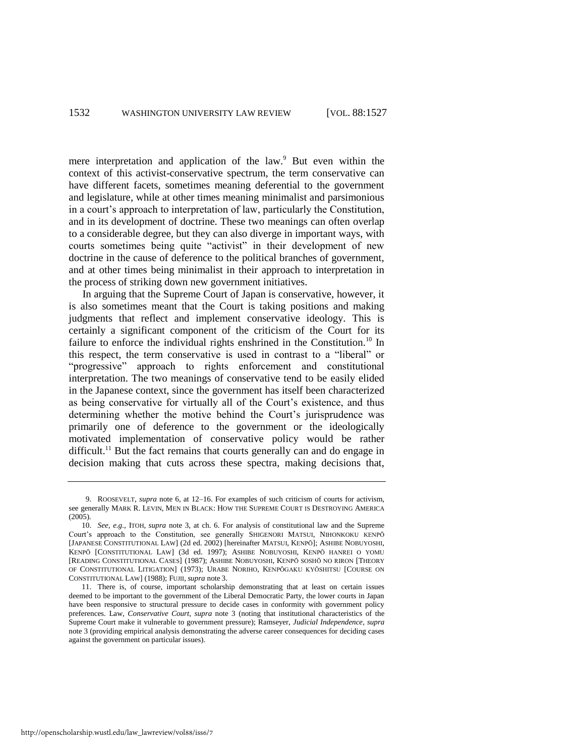mere interpretation and application of the law.<sup>9</sup> But even within the context of this activist-conservative spectrum, the term conservative can have different facets, sometimes meaning deferential to the government and legislature, while at other times meaning minimalist and parsimonious in a court's approach to interpretation of law, particularly the Constitution, and in its development of doctrine. These two meanings can often overlap to a considerable degree, but they can also diverge in important ways, with courts sometimes being quite "activist" in their development of new doctrine in the cause of deference to the political branches of government, and at other times being minimalist in their approach to interpretation in the process of striking down new government initiatives.

<span id="page-6-0"></span>In arguing that the Supreme Court of Japan is conservative, however, it is also sometimes meant that the Court is taking positions and making judgments that reflect and implement conservative ideology. This is certainly a significant component of the criticism of the Court for its failure to enforce the individual rights enshrined in the Constitution.<sup>10</sup> In this respect, the term conservative is used in contrast to a "liberal" or "progressive" approach to rights enforcement and constitutional interpretation. The two meanings of conservative tend to be easily elided in the Japanese context, since the government has itself been characterized as being conservative for virtually all of the Court's existence, and thus determining whether the motive behind the Court's jurisprudence was primarily one of deference to the government or the ideologically motivated implementation of conservative policy would be rather difficult.<sup>11</sup> But the fact remains that courts generally can and do engage in decision making that cuts across these spectra, making decisions that,

<sup>9.</sup> ROOSEVELT, *supra* note [6,](#page-3-0) at 12–16. For examples of such criticism of courts for activism, see generally MARK R. LEVIN, MEN IN BLACK: HOW THE SUPREME COURT IS DESTROYING AMERICA (2005).

<sup>10.</sup> *See, e.g.*, ITOH, *supra* note [3,](#page-1-1) at ch. 6. For analysis of constitutional law and the Supreme Court's approach to the Constitution, see generally SHIGENORI MATSUI, NIHONKOKU KENPŌ [JAPANESE CONSTITUTIONAL LAW] (2d ed. 2002) [hereinafter MATSUI, KENPŌ]; ASHIBE NOBUYOSHI, KENPŌ [CONSTITUTIONAL LAW] (3d ed. 1997); ASHIBE NOBUYOSHI, KENPŌ HANREI O YOMU [READING CONSTITUTIONAL CASES] (1987); ASHIBE NOBUYOSHI, KENPŌ SOSHŌ NO RIRON [THEORY OF CONSTITUTIONAL LITIGATION] (1973); URABE NORIHO, KENPŌGAKU KYŌSHITSU [COURSE ON CONSTITUTIONAL LAW] (1988); FUJII, *supra* note [3.](#page-1-1)

<sup>11.</sup> There is, of course, important scholarship demonstrating that at least on certain issues deemed to be important to the government of the Liberal Democratic Party, the lower courts in Japan have been responsive to structural pressure to decide cases in conformity with government policy preferences. Law, *Conservative Court*, *supra* note [3](#page-1-1) (noting that institutional characteristics of the Supreme Court make it vulnerable to government pressure); Ramseyer, *Judicial Independence*, *supra* note [3](#page-1-1) (providing empirical analysis demonstrating the adverse career consequences for deciding cases against the government on particular issues).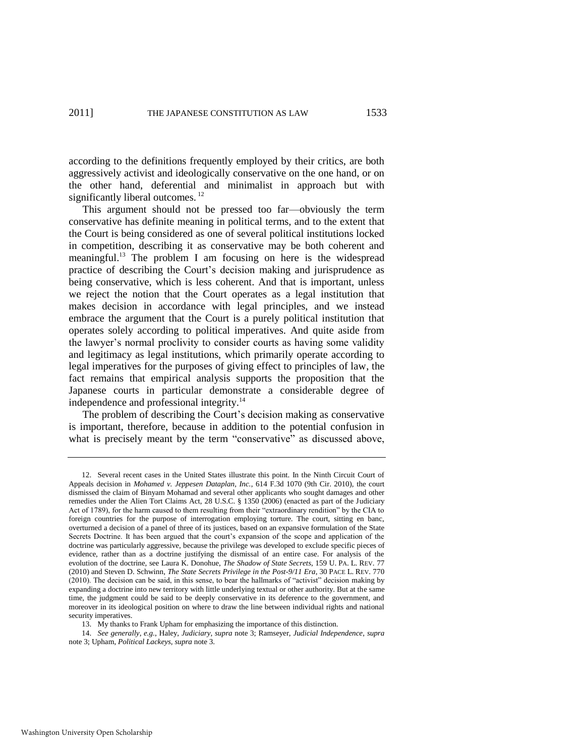according to the definitions frequently employed by their critics, are both aggressively activist and ideologically conservative on the one hand, or on the other hand, deferential and minimalist in approach but with significantly liberal outcomes.<sup>12</sup>

This argument should not be pressed too far—obviously the term conservative has definite meaning in political terms, and to the extent that the Court is being considered as one of several political institutions locked in competition, describing it as conservative may be both coherent and meaningful.<sup>13</sup> The problem I am focusing on here is the widespread practice of describing the Court's decision making and jurisprudence as being conservative, which is less coherent. And that is important, unless we reject the notion that the Court operates as a legal institution that makes decision in accordance with legal principles, and we instead embrace the argument that the Court is a purely political institution that operates solely according to political imperatives. And quite aside from the lawyer's normal proclivity to consider courts as having some validity and legitimacy as legal institutions, which primarily operate according to legal imperatives for the purposes of giving effect to principles of law, the fact remains that empirical analysis supports the proposition that the Japanese courts in particular demonstrate a considerable degree of independence and professional integrity.<sup>14</sup>

The problem of describing the Court's decision making as conservative is important, therefore, because in addition to the potential confusion in what is precisely meant by the term "conservative" as discussed above,

13. My thanks to Frank Upham for emphasizing the importance of this distinction.

<sup>12.</sup> Several recent cases in the United States illustrate this point. In the Ninth Circuit Court of Appeals decision in *Mohamed v. Jeppesen Dataplan, Inc.*, 614 F.3d 1070 (9th Cir. 2010), the court dismissed the claim of Binyam Mohamad and several other applicants who sought damages and other remedies under the Alien Tort Claims Act, 28 U.S.C. § 1350 (2006) (enacted as part of the Judiciary Act of 1789), for the harm caused to them resulting from their "extraordinary rendition" by the CIA to foreign countries for the purpose of interrogation employing torture. The court, sitting en banc, overturned a decision of a panel of three of its justices, based on an expansive formulation of the State Secrets Doctrine. It has been argued that the court's expansion of the scope and application of the doctrine was particularly aggressive, because the privilege was developed to exclude specific pieces of evidence, rather than as a doctrine justifying the dismissal of an entire case. For analysis of the evolution of the doctrine, see Laura K. Donohue, *The Shadow of State Secrets*, 159 U. PA. L. REV. 77 (2010) and Steven D. Schwinn, *The State Secrets Privilege in the Post-9/11 Era*, 30 PACE L. REV. 770  $(2010)$ . The decision can be said, in this sense, to bear the hallmarks of "activist" decision making by expanding a doctrine into new territory with little underlying textual or other authority. But at the same time, the judgment could be said to be deeply conservative in its deference to the government, and moreover in its ideological position on where to draw the line between individual rights and national security imperatives.

<sup>14.</sup> *See generally, e.g.*, Haley, *Judiciary*, *supra* note [3;](#page-1-1) Ramseyer, *Judicial Independence*, *supra* note [3;](#page-1-1) Upham, *Political Lackeys*, *supra* not[e 3.](#page-1-1)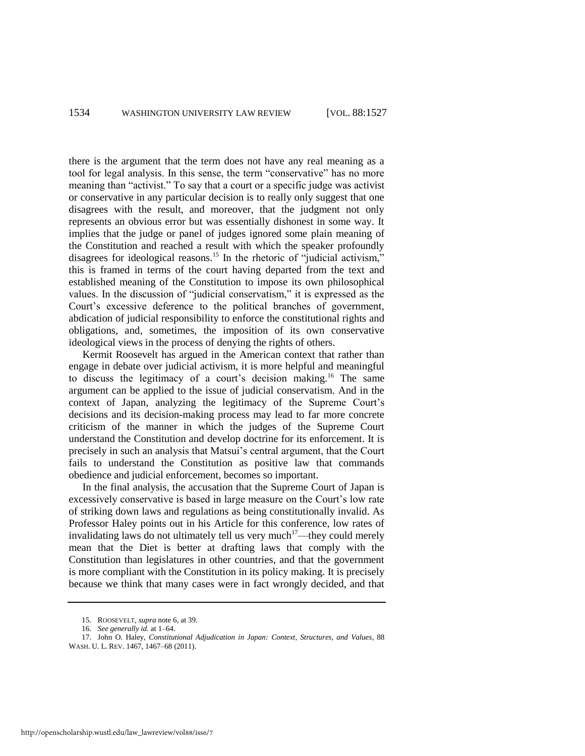there is the argument that the term does not have any real meaning as a tool for legal analysis. In this sense, the term "conservative" has no more meaning than "activist." To say that a court or a specific judge was activist or conservative in any particular decision is to really only suggest that one disagrees with the result, and moreover, that the judgment not only represents an obvious error but was essentially dishonest in some way. It implies that the judge or panel of judges ignored some plain meaning of the Constitution and reached a result with which the speaker profoundly disagrees for ideological reasons.<sup>15</sup> In the rhetoric of "judicial activism," this is framed in terms of the court having departed from the text and established meaning of the Constitution to impose its own philosophical values. In the discussion of "judicial conservatism," it is expressed as the Court's excessive deference to the political branches of government, abdication of judicial responsibility to enforce the constitutional rights and obligations, and, sometimes, the imposition of its own conservative ideological views in the process of denying the rights of others.

Kermit Roosevelt has argued in the American context that rather than engage in debate over judicial activism, it is more helpful and meaningful to discuss the legitimacy of a court's decision making.<sup>16</sup> The same argument can be applied to the issue of judicial conservatism. And in the context of Japan, analyzing the legitimacy of the Supreme Court's decisions and its decision-making process may lead to far more concrete criticism of the manner in which the judges of the Supreme Court understand the Constitution and develop doctrine for its enforcement. It is precisely in such an analysis that Matsui's central argument, that the Court fails to understand the Constitution as positive law that commands obedience and judicial enforcement, becomes so important.

In the final analysis, the accusation that the Supreme Court of Japan is excessively conservative is based in large measure on the Court's low rate of striking down laws and regulations as being constitutionally invalid. As Professor Haley points out in his Article for this conference, low rates of invalidating laws do not ultimately tell us very much<sup>17</sup>—they could merely mean that the Diet is better at drafting laws that comply with the Constitution than legislatures in other countries, and that the government is more compliant with the Constitution in its policy making. It is precisely because we think that many cases were in fact wrongly decided, and that

<sup>15.</sup> ROOSEVELT, *supra* not[e 6,](#page-3-0) at 39.

<sup>16.</sup> *See generally id.* at 1–64.

<sup>17.</sup> John O. Haley, *Constitutional Adjudication in Japan: Context, Structures, and Values*, 88 WASH. U. L. REV. 1467, 1467–68 (2011).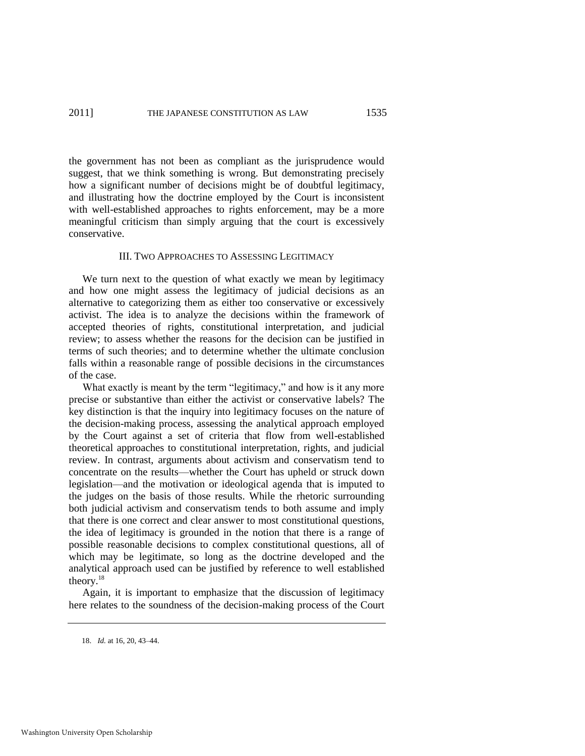the government has not been as compliant as the jurisprudence would suggest, that we think something is wrong. But demonstrating precisely how a significant number of decisions might be of doubtful legitimacy, and illustrating how the doctrine employed by the Court is inconsistent with well-established approaches to rights enforcement, may be a more meaningful criticism than simply arguing that the court is excessively conservative.

#### III. TWO APPROACHES TO ASSESSING LEGITIMACY

We turn next to the question of what exactly we mean by legitimacy and how one might assess the legitimacy of judicial decisions as an alternative to categorizing them as either too conservative or excessively activist. The idea is to analyze the decisions within the framework of accepted theories of rights, constitutional interpretation, and judicial review; to assess whether the reasons for the decision can be justified in terms of such theories; and to determine whether the ultimate conclusion falls within a reasonable range of possible decisions in the circumstances of the case.

What exactly is meant by the term "legitimacy," and how is it any more precise or substantive than either the activist or conservative labels? The key distinction is that the inquiry into legitimacy focuses on the nature of the decision-making process, assessing the analytical approach employed by the Court against a set of criteria that flow from well-established theoretical approaches to constitutional interpretation, rights, and judicial review. In contrast, arguments about activism and conservatism tend to concentrate on the results—whether the Court has upheld or struck down legislation—and the motivation or ideological agenda that is imputed to the judges on the basis of those results. While the rhetoric surrounding both judicial activism and conservatism tends to both assume and imply that there is one correct and clear answer to most constitutional questions, the idea of legitimacy is grounded in the notion that there is a range of possible reasonable decisions to complex constitutional questions, all of which may be legitimate, so long as the doctrine developed and the analytical approach used can be justified by reference to well established theory.<sup>18</sup>

Again, it is important to emphasize that the discussion of legitimacy here relates to the soundness of the decision-making process of the Court

<sup>18.</sup> *Id.* at 16, 20, 43–44.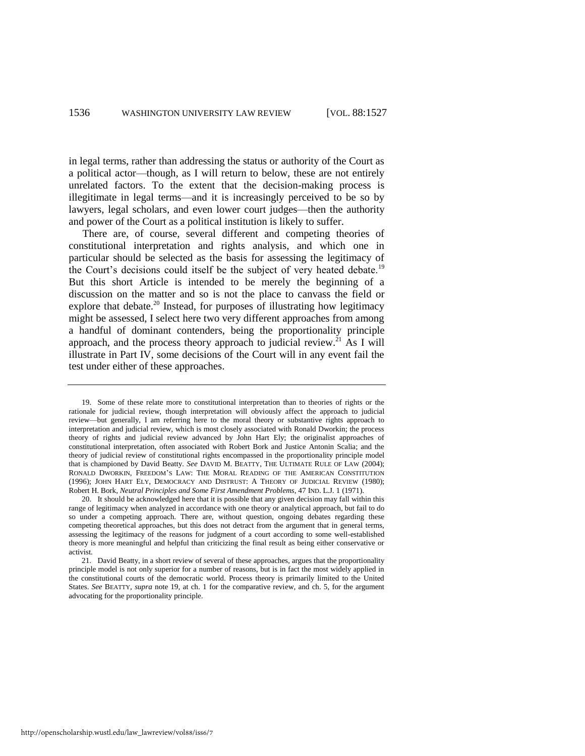in legal terms, rather than addressing the status or authority of the Court as a political actor—though, as I will return to below, these are not entirely unrelated factors. To the extent that the decision-making process is illegitimate in legal terms—and it is increasingly perceived to be so by lawyers, legal scholars, and even lower court judges—then the authority and power of the Court as a political institution is likely to suffer.

<span id="page-10-0"></span>There are, of course, several different and competing theories of constitutional interpretation and rights analysis, and which one in particular should be selected as the basis for assessing the legitimacy of the Court's decisions could itself be the subject of very heated debate.<sup>19</sup> But this short Article is intended to be merely the beginning of a discussion on the matter and so is not the place to canvass the field or explore that debate.<sup>20</sup> Instead, for purposes of illustrating how legitimacy might be assessed, I select here two very different approaches from among a handful of dominant contenders, being the proportionality principle approach, and the process theory approach to judicial review.<sup>21</sup> As I will illustrate in Part IV, some decisions of the Court will in any event fail the test under either of these approaches.

http://openscholarship.wustl.edu/law\_lawreview/vol88/iss6/7

<sup>19.</sup> Some of these relate more to constitutional interpretation than to theories of rights or the rationale for judicial review, though interpretation will obviously affect the approach to judicial review—but generally, I am referring here to the moral theory or substantive rights approach to interpretation and judicial review, which is most closely associated with Ronald Dworkin; the process theory of rights and judicial review advanced by John Hart Ely; the originalist approaches of constitutional interpretation, often associated with Robert Bork and Justice Antonin Scalia; and the theory of judicial review of constitutional rights encompassed in the proportionality principle model that is championed by David Beatty. *See* DAVID M. BEATTY, THE ULTIMATE RULE OF LAW (2004); RONALD DWORKIN, FREEDOM'S LAW: THE MORAL READING OF THE AMERICAN CONSTITUTION (1996); JOHN HART ELY, DEMOCRACY AND DISTRUST: A THEORY OF JUDICIAL REVIEW (1980); Robert H. Bork, *Neutral Principles and Some First Amendment Problems*, 47 IND. L.J. 1 (1971).

<sup>20.</sup> It should be acknowledged here that it is possible that any given decision may fall within this range of legitimacy when analyzed in accordance with one theory or analytical approach, but fail to do so under a competing approach. There are, without question, ongoing debates regarding these competing theoretical approaches, but this does not detract from the argument that in general terms, assessing the legitimacy of the reasons for judgment of a court according to some well-established theory is more meaningful and helpful than criticizing the final result as being either conservative or activist.

<sup>21.</sup> David Beatty, in a short review of several of these approaches, argues that the proportionality principle model is not only superior for a number of reasons, but is in fact the most widely applied in the constitutional courts of the democratic world. Process theory is primarily limited to the United States. *See* BEATTY, *supra* not[e 19,](#page-10-0) at ch. 1 for the comparative review, and ch. 5, for the argument advocating for the proportionality principle.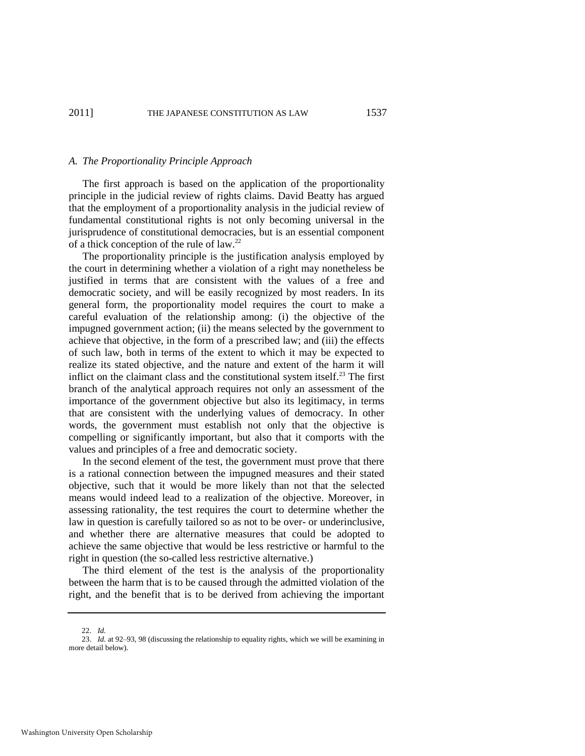#### *A. The Proportionality Principle Approach*

The first approach is based on the application of the proportionality principle in the judicial review of rights claims. David Beatty has argued that the employment of a proportionality analysis in the judicial review of fundamental constitutional rights is not only becoming universal in the jurisprudence of constitutional democracies, but is an essential component of a thick conception of the rule of law.<sup>22</sup>

The proportionality principle is the justification analysis employed by the court in determining whether a violation of a right may nonetheless be justified in terms that are consistent with the values of a free and democratic society, and will be easily recognized by most readers. In its general form, the proportionality model requires the court to make a careful evaluation of the relationship among: (i) the objective of the impugned government action; (ii) the means selected by the government to achieve that objective, in the form of a prescribed law; and (iii) the effects of such law, both in terms of the extent to which it may be expected to realize its stated objective, and the nature and extent of the harm it will inflict on the claimant class and the constitutional system itself. $^{23}$  The first branch of the analytical approach requires not only an assessment of the importance of the government objective but also its legitimacy, in terms that are consistent with the underlying values of democracy. In other words, the government must establish not only that the objective is compelling or significantly important, but also that it comports with the values and principles of a free and democratic society.

In the second element of the test, the government must prove that there is a rational connection between the impugned measures and their stated objective, such that it would be more likely than not that the selected means would indeed lead to a realization of the objective. Moreover, in assessing rationality, the test requires the court to determine whether the law in question is carefully tailored so as not to be over- or underinclusive, and whether there are alternative measures that could be adopted to achieve the same objective that would be less restrictive or harmful to the right in question (the so-called less restrictive alternative.)

The third element of the test is the analysis of the proportionality between the harm that is to be caused through the admitted violation of the right, and the benefit that is to be derived from achieving the important

<sup>22.</sup> *Id.*

<sup>23.</sup> *Id.* at 92–93, 98 (discussing the relationship to equality rights, which we will be examining in more detail below).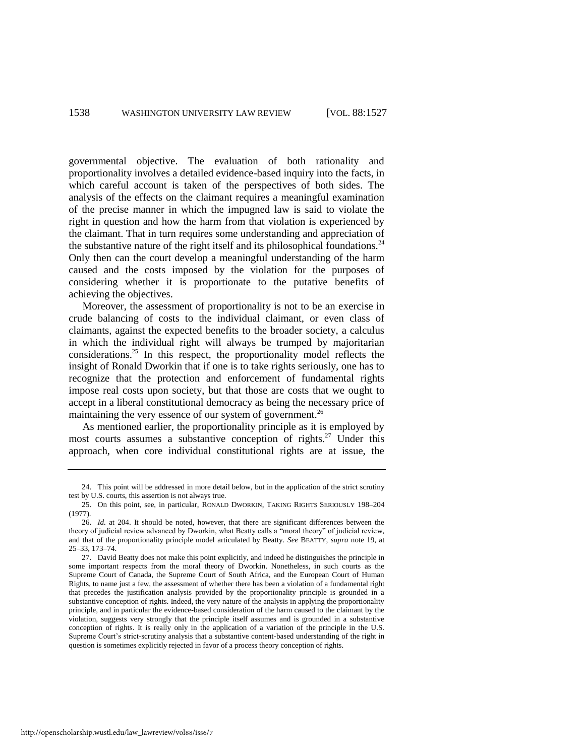governmental objective. The evaluation of both rationality and proportionality involves a detailed evidence-based inquiry into the facts, in which careful account is taken of the perspectives of both sides. The analysis of the effects on the claimant requires a meaningful examination of the precise manner in which the impugned law is said to violate the right in question and how the harm from that violation is experienced by the claimant. That in turn requires some understanding and appreciation of the substantive nature of the right itself and its philosophical foundations.<sup>24</sup> Only then can the court develop a meaningful understanding of the harm caused and the costs imposed by the violation for the purposes of considering whether it is proportionate to the putative benefits of achieving the objectives.

Moreover, the assessment of proportionality is not to be an exercise in crude balancing of costs to the individual claimant, or even class of claimants, against the expected benefits to the broader society, a calculus in which the individual right will always be trumped by majoritarian considerations.<sup>25</sup> In this respect, the proportionality model reflects the insight of Ronald Dworkin that if one is to take rights seriously, one has to recognize that the protection and enforcement of fundamental rights impose real costs upon society, but that those are costs that we ought to accept in a liberal constitutional democracy as being the necessary price of maintaining the very essence of our system of government.<sup>26</sup>

As mentioned earlier, the proportionality principle as it is employed by most courts assumes a substantive conception of rights.<sup>27</sup> Under this approach, when core individual constitutional rights are at issue, the

<sup>24.</sup> This point will be addressed in more detail below, but in the application of the strict scrutiny test by U.S. courts, this assertion is not always true.

<sup>25.</sup> On this point, see, in particular, RONALD DWORKIN, TAKING RIGHTS SERIOUSLY 198–204 (1977).

<sup>26.</sup> *Id.* at 204. It should be noted, however, that there are significant differences between the theory of judicial review advanced by Dworkin, what Beatty calls a "moral theory" of judicial review, and that of the proportionality principle model articulated by Beatty. *See* BEATTY, *supra* note [19,](#page-10-0) at 25–33, 173–74.

<sup>27.</sup> David Beatty does not make this point explicitly, and indeed he distinguishes the principle in some important respects from the moral theory of Dworkin. Nonetheless, in such courts as the Supreme Court of Canada, the Supreme Court of South Africa, and the European Court of Human Rights, to name just a few, the assessment of whether there has been a violation of a fundamental right that precedes the justification analysis provided by the proportionality principle is grounded in a substantive conception of rights. Indeed, the very nature of the analysis in applying the proportionality principle, and in particular the evidence-based consideration of the harm caused to the claimant by the violation, suggests very strongly that the principle itself assumes and is grounded in a substantive conception of rights. It is really only in the application of a variation of the principle in the U.S. Supreme Court's strict-scrutiny analysis that a substantive content-based understanding of the right in question is sometimes explicitly rejected in favor of a process theory conception of rights.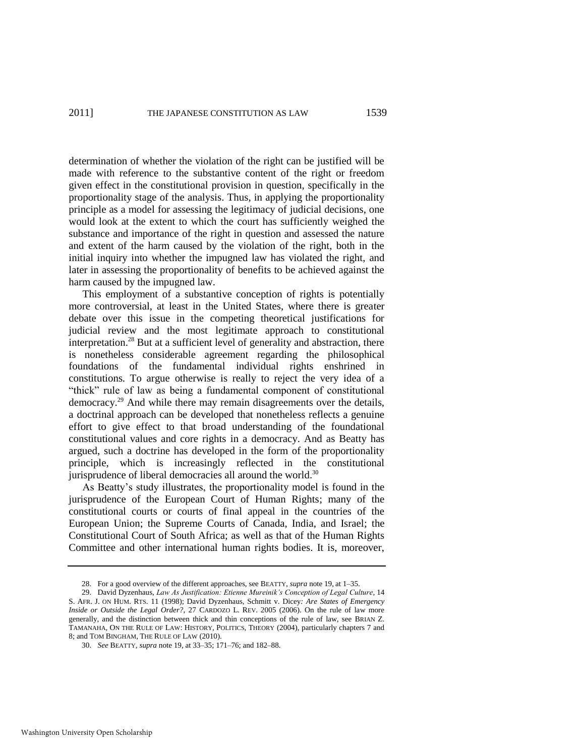determination of whether the violation of the right can be justified will be made with reference to the substantive content of the right or freedom given effect in the constitutional provision in question, specifically in the proportionality stage of the analysis. Thus, in applying the proportionality principle as a model for assessing the legitimacy of judicial decisions, one would look at the extent to which the court has sufficiently weighed the substance and importance of the right in question and assessed the nature and extent of the harm caused by the violation of the right, both in the initial inquiry into whether the impugned law has violated the right, and later in assessing the proportionality of benefits to be achieved against the harm caused by the impugned law.

This employment of a substantive conception of rights is potentially more controversial, at least in the United States, where there is greater debate over this issue in the competing theoretical justifications for judicial review and the most legitimate approach to constitutional interpretation.<sup>28</sup> But at a sufficient level of generality and abstraction, there is nonetheless considerable agreement regarding the philosophical foundations of the fundamental individual rights enshrined in constitutions. To argue otherwise is really to reject the very idea of a "thick" rule of law as being a fundamental component of constitutional democracy.<sup>29</sup> And while there may remain disagreements over the details, a doctrinal approach can be developed that nonetheless reflects a genuine effort to give effect to that broad understanding of the foundational constitutional values and core rights in a democracy. And as Beatty has argued, such a doctrine has developed in the form of the proportionality principle, which is increasingly reflected in the constitutional jurisprudence of liberal democracies all around the world.<sup>30</sup>

As Beatty's study illustrates, the proportionality model is found in the jurisprudence of the European Court of Human Rights; many of the constitutional courts or courts of final appeal in the countries of the European Union; the Supreme Courts of Canada, India, and Israel; the Constitutional Court of South Africa; as well as that of the Human Rights Committee and other international human rights bodies. It is, moreover,

<sup>28.</sup> For a good overview of the different approaches, see BEATTY, *supra* not[e 19,](#page-10-0) at 1–35.

<sup>29.</sup> David Dyzenhaus, *Law As Justification: Etienne Mureinik's Conception of Legal Culture*, 14 S. AFR. J. ON HUM. RTS. 11 (1998); David Dyzenhaus, Schmitt v. Dicey*: Are States of Emergency Inside or Outside the Legal Order?*, 27 CARDOZO L. REV. 2005 (2006). On the rule of law more generally, and the distinction between thick and thin conceptions of the rule of law, see BRIAN Z. TAMANAHA, ON THE RULE OF LAW: HISTORY, POLITICS, THEORY (2004), particularly chapters 7 and 8; and TOM BINGHAM, THE RULE OF LAW (2010).

<sup>30.</sup> *See* BEATTY, *supra* not[e 19,](#page-10-0) at 33–35; 171–76; and 182–88.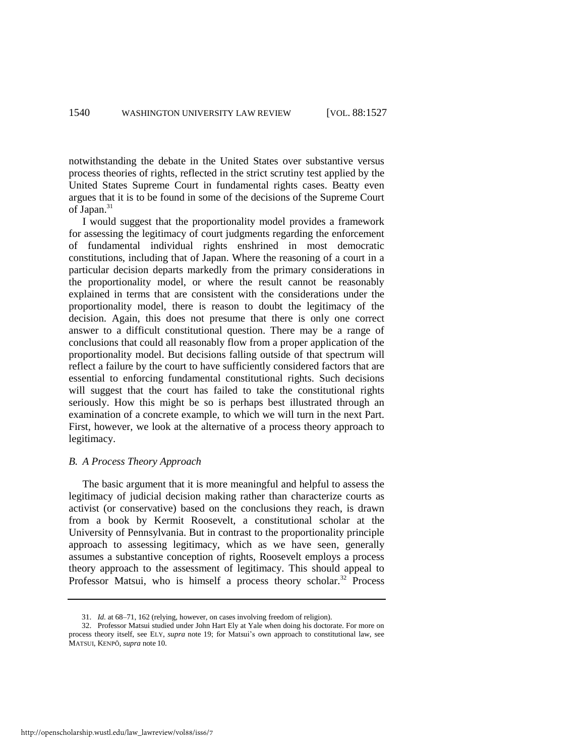notwithstanding the debate in the United States over substantive versus process theories of rights, reflected in the strict scrutiny test applied by the United States Supreme Court in fundamental rights cases. Beatty even argues that it is to be found in some of the decisions of the Supreme Court of Japan.<sup>31</sup>

I would suggest that the proportionality model provides a framework for assessing the legitimacy of court judgments regarding the enforcement of fundamental individual rights enshrined in most democratic constitutions, including that of Japan. Where the reasoning of a court in a particular decision departs markedly from the primary considerations in the proportionality model, or where the result cannot be reasonably explained in terms that are consistent with the considerations under the proportionality model, there is reason to doubt the legitimacy of the decision. Again, this does not presume that there is only one correct answer to a difficult constitutional question. There may be a range of conclusions that could all reasonably flow from a proper application of the proportionality model. But decisions falling outside of that spectrum will reflect a failure by the court to have sufficiently considered factors that are essential to enforcing fundamental constitutional rights. Such decisions will suggest that the court has failed to take the constitutional rights seriously. How this might be so is perhaps best illustrated through an examination of a concrete example, to which we will turn in the next Part. First, however, we look at the alternative of a process theory approach to legitimacy.

# *B. A Process Theory Approach*

The basic argument that it is more meaningful and helpful to assess the legitimacy of judicial decision making rather than characterize courts as activist (or conservative) based on the conclusions they reach, is drawn from a book by Kermit Roosevelt, a constitutional scholar at the University of Pennsylvania. But in contrast to the proportionality principle approach to assessing legitimacy, which as we have seen, generally assumes a substantive conception of rights, Roosevelt employs a process theory approach to the assessment of legitimacy. This should appeal to Professor Matsui, who is himself a process theory scholar.<sup>32</sup> Process

<sup>31.</sup> *Id.* at 68–71, 162 (relying, however, on cases involving freedom of religion).

<sup>32.</sup> Professor Matsui studied under John Hart Ely at Yale when doing his doctorate. For more on process theory itself, see ELY, *supra* note [19;](#page-10-0) for Matsui's own approach to constitutional law, see MATSUI, KENPŌ*, supra* note [10.](#page-6-0)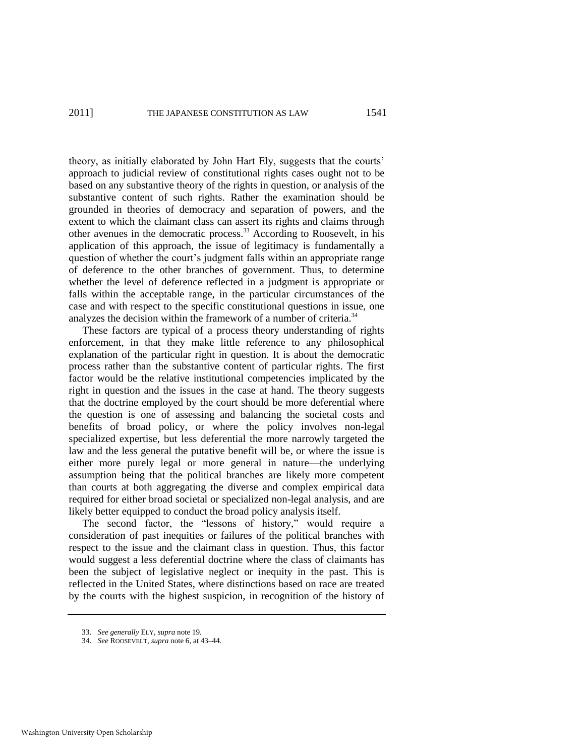theory, as initially elaborated by John Hart Ely, suggests that the courts' approach to judicial review of constitutional rights cases ought not to be based on any substantive theory of the rights in question, or analysis of the substantive content of such rights. Rather the examination should be grounded in theories of democracy and separation of powers, and the extent to which the claimant class can assert its rights and claims through other avenues in the democratic process.<sup>33</sup> According to Roosevelt, in his application of this approach, the issue of legitimacy is fundamentally a question of whether the court's judgment falls within an appropriate range of deference to the other branches of government. Thus, to determine whether the level of deference reflected in a judgment is appropriate or falls within the acceptable range, in the particular circumstances of the case and with respect to the specific constitutional questions in issue, one analyzes the decision within the framework of a number of criteria.<sup>34</sup>

These factors are typical of a process theory understanding of rights enforcement, in that they make little reference to any philosophical explanation of the particular right in question. It is about the democratic process rather than the substantive content of particular rights. The first factor would be the relative institutional competencies implicated by the right in question and the issues in the case at hand. The theory suggests that the doctrine employed by the court should be more deferential where the question is one of assessing and balancing the societal costs and benefits of broad policy, or where the policy involves non-legal specialized expertise, but less deferential the more narrowly targeted the law and the less general the putative benefit will be, or where the issue is either more purely legal or more general in nature—the underlying assumption being that the political branches are likely more competent than courts at both aggregating the diverse and complex empirical data required for either broad societal or specialized non-legal analysis, and are likely better equipped to conduct the broad policy analysis itself.

The second factor, the "lessons of history," would require a consideration of past inequities or failures of the political branches with respect to the issue and the claimant class in question. Thus, this factor would suggest a less deferential doctrine where the class of claimants has been the subject of legislative neglect or inequity in the past. This is reflected in the United States, where distinctions based on race are treated by the courts with the highest suspicion, in recognition of the history of

<sup>33.</sup> *See generally* ELY, *supra* not[e 19.](#page-10-0)

<sup>34.</sup> *See* ROOSEVELT, *supra* not[e 6,](#page-3-0) at 43–44.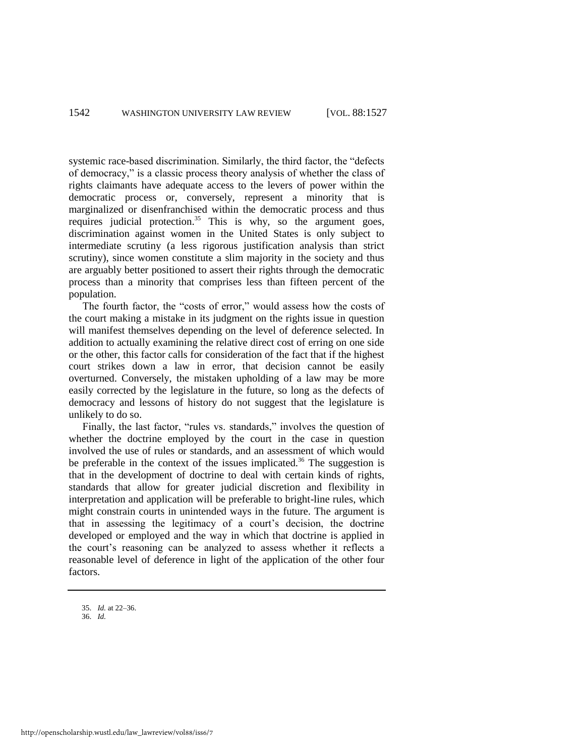systemic race-based discrimination. Similarly, the third factor, the "defects" of democracy,‖ is a classic process theory analysis of whether the class of rights claimants have adequate access to the levers of power within the democratic process or, conversely, represent a minority that is marginalized or disenfranchised within the democratic process and thus requires judicial protection.<sup>35</sup> This is why, so the argument goes, discrimination against women in the United States is only subject to intermediate scrutiny (a less rigorous justification analysis than strict scrutiny), since women constitute a slim majority in the society and thus are arguably better positioned to assert their rights through the democratic process than a minority that comprises less than fifteen percent of the population.

The fourth factor, the "costs of error," would assess how the costs of the court making a mistake in its judgment on the rights issue in question will manifest themselves depending on the level of deference selected. In addition to actually examining the relative direct cost of erring on one side or the other, this factor calls for consideration of the fact that if the highest court strikes down a law in error, that decision cannot be easily overturned. Conversely, the mistaken upholding of a law may be more easily corrected by the legislature in the future, so long as the defects of democracy and lessons of history do not suggest that the legislature is unlikely to do so.

Finally, the last factor, "rules vs. standards," involves the question of whether the doctrine employed by the court in the case in question involved the use of rules or standards, and an assessment of which would be preferable in the context of the issues implicated.<sup>36</sup> The suggestion is that in the development of doctrine to deal with certain kinds of rights, standards that allow for greater judicial discretion and flexibility in interpretation and application will be preferable to bright-line rules, which might constrain courts in unintended ways in the future. The argument is that in assessing the legitimacy of a court's decision, the doctrine developed or employed and the way in which that doctrine is applied in the court's reasoning can be analyzed to assess whether it reflects a reasonable level of deference in light of the application of the other four factors.

35. *Id.* at 22–36.

<sup>36.</sup> *Id.*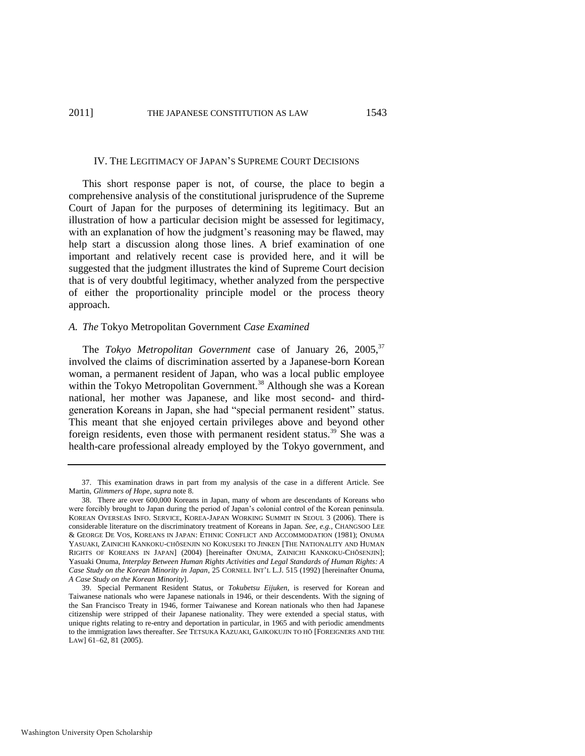#### IV. THE LEGITIMACY OF JAPAN'S SUPREME COURT DECISIONS

This short response paper is not, of course, the place to begin a comprehensive analysis of the constitutional jurisprudence of the Supreme Court of Japan for the purposes of determining its legitimacy. But an illustration of how a particular decision might be assessed for legitimacy, with an explanation of how the judgment's reasoning may be flawed, may help start a discussion along those lines. A brief examination of one important and relatively recent case is provided here, and it will be suggested that the judgment illustrates the kind of Supreme Court decision that is of very doubtful legitimacy, whether analyzed from the perspective of either the proportionality principle model or the process theory approach.

# *A. The* Tokyo Metropolitan Government *Case Examined*

<span id="page-17-0"></span>The *Tokyo Metropolitan Government* case of January 26, 2005,<sup>37</sup> involved the claims of discrimination asserted by a Japanese-born Korean woman, a permanent resident of Japan, who was a local public employee within the Tokyo Metropolitan Government.<sup>38</sup> Although she was a Korean national, her mother was Japanese, and like most second- and thirdgeneration Koreans in Japan, she had "special permanent resident" status. This meant that she enjoyed certain privileges above and beyond other foreign residents, even those with permanent resident status.<sup>39</sup> She was a health-care professional already employed by the Tokyo government, and

<sup>37.</sup> This examination draws in part from my analysis of the case in a different Article. See Martin, *Glimmers of Hope*, *supra* note [8.](#page-4-0) 

<sup>38.</sup> There are over 600,000 Koreans in Japan, many of whom are descendants of Koreans who were forcibly brought to Japan during the period of Japan's colonial control of the Korean peninsula. KOREAN OVERSEAS INFO. SERVICE, KOREA-JAPAN WORKING SUMMIT IN SEOUL 3 (2006). There is considerable literature on the discriminatory treatment of Koreans in Japan. *See, e.g.*, CHANGSOO LEE & GEORGE DE VOS, KOREANS IN JAPAN: ETHNIC CONFLICT AND ACCOMMODATION (1981); ONUMA YASUAKI, ZAINICHI KANKOKU-CHŌSENJIN NO KOKUSEKI TO JINKEN [THE NATIONALITY AND HUMAN RIGHTS OF KOREANS IN JAPAN] (2004) [hereinafter ONUMA, ZAINICHI KANKOKU-CHŌSENJIN]; Yasuaki Onuma, *Interplay Between Human Rights Activities and Legal Standards of Human Rights: A Case Study on the Korean Minority in Japan*, 25 CORNELL INT'L L.J. 515 (1992) [hereinafter Onuma, *A Case Study on the Korean Minority*].

<sup>39.</sup> Special Permanent Resident Status, or *Tokubetsu Eijuken*, is reserved for Korean and Taiwanese nationals who were Japanese nationals in 1946, or their descendents. With the signing of the San Francisco Treaty in 1946, former Taiwanese and Korean nationals who then had Japanese citizenship were stripped of their Japanese nationality. They were extended a special status, with unique rights relating to re-entry and deportation in particular, in 1965 and with periodic amendments to the immigration laws thereafter. *See* TETSUKA KAZUAKI, GAIKOKUJIN TO HŌ [FOREIGNERS AND THE LAW] 61–62, 81 (2005).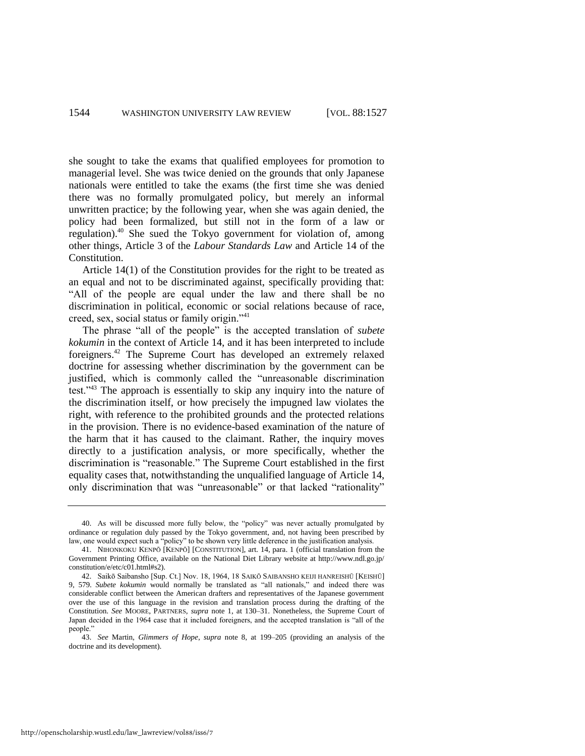she sought to take the exams that qualified employees for promotion to managerial level. She was twice denied on the grounds that only Japanese nationals were entitled to take the exams (the first time she was denied there was no formally promulgated policy, but merely an informal unwritten practice; by the following year, when she was again denied, the policy had been formalized, but still not in the form of a law or regulation).<sup>40</sup> She sued the Tokyo government for violation of, among other things, Article 3 of the *Labour Standards Law* and Article 14 of the Constitution.

Article 14(1) of the Constitution provides for the right to be treated as an equal and not to be discriminated against, specifically providing that: ―All of the people are equal under the law and there shall be no discrimination in political, economic or social relations because of race, creed, sex, social status or family origin."<sup>41</sup>

The phrase "all of the people" is the accepted translation of *subete kokumin* in the context of Article 14, and it has been interpreted to include foreigners.<sup>42</sup> The Supreme Court has developed an extremely relaxed doctrine for assessing whether discrimination by the government can be justified, which is commonly called the "unreasonable discrimination test.<sup> $143$ </sup> The approach is essentially to skip any inquiry into the nature of the discrimination itself, or how precisely the impugned law violates the right, with reference to the prohibited grounds and the protected relations in the provision. There is no evidence-based examination of the nature of the harm that it has caused to the claimant. Rather, the inquiry moves directly to a justification analysis, or more specifically, whether the discrimination is "reasonable." The Supreme Court established in the first equality cases that, notwithstanding the unqualified language of Article 14, only discrimination that was "unreasonable" or that lacked "rationality"

<sup>40.</sup> As will be discussed more fully below, the "policy" was never actually promulgated by ordinance or regulation duly passed by the Tokyo government, and, not having been prescribed by law, one would expect such a "policy" to be shown very little deference in the justification analysis.

<sup>41.</sup> NIHONKOKU KENPŌ [KENPŌ] [CONSTITUTION], art. 14, para. 1 (official translation from the Government Printing Office, available on the National Diet Library website at http://www.ndl.go.jp/ constitution/e/etc/c01.html#s2).

<sup>42.</sup> Saikō Saibansho [Sup. Ct.] Nov. 18, 1964, 18 SAIKŌ SAIBANSHO KEIJI HANREISHŪ [KEISHŪ] 9, 579. *Subete kokumin* would normally be translated as "all nationals," and indeed there was considerable conflict between the American drafters and representatives of the Japanese government over the use of this language in the revision and translation process during the drafting of the Constitution. *See* MOORE, PARTNERS, *supra* note [1,](#page-1-2) at 130–31. Nonetheless, the Supreme Court of Japan decided in the 1964 case that it included foreigners, and the accepted translation is "all of the people.'

<sup>43.</sup> *See* Martin, *Glimmers of Hope*, *supra* note [8,](#page-4-0) at 199–205 (providing an analysis of the doctrine and its development).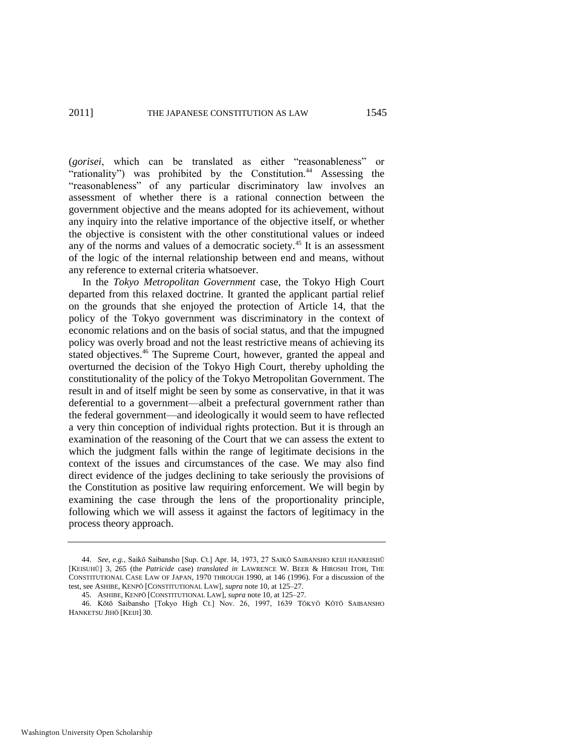<span id="page-19-0"></span>(*gorisei*, which can be translated as either "reasonableness" "rationality") was prohibited by the Constitution.<sup>44</sup> Assessing the "reasonableness" of any particular discriminatory law involves an assessment of whether there is a rational connection between the government objective and the means adopted for its achievement, without any inquiry into the relative importance of the objective itself, or whether the objective is consistent with the other constitutional values or indeed any of the norms and values of a democratic society.<sup>45</sup> It is an assessment of the logic of the internal relationship between end and means, without any reference to external criteria whatsoever.

In the *Tokyo Metropolitan Government* case, the Tokyo High Court departed from this relaxed doctrine. It granted the applicant partial relief on the grounds that she enjoyed the protection of Article 14, that the policy of the Tokyo government was discriminatory in the context of economic relations and on the basis of social status, and that the impugned policy was overly broad and not the least restrictive means of achieving its stated objectives.<sup>46</sup> The Supreme Court, however, granted the appeal and overturned the decision of the Tokyo High Court, thereby upholding the constitutionality of the policy of the Tokyo Metropolitan Government. The result in and of itself might be seen by some as conservative, in that it was deferential to a government—albeit a prefectural government rather than the federal government—and ideologically it would seem to have reflected a very thin conception of individual rights protection. But it is through an examination of the reasoning of the Court that we can assess the extent to which the judgment falls within the range of legitimate decisions in the context of the issues and circumstances of the case. We may also find direct evidence of the judges declining to take seriously the provisions of the Constitution as positive law requiring enforcement. We will begin by examining the case through the lens of the proportionality principle, following which we will assess it against the factors of legitimacy in the process theory approach.

<sup>44.</sup> *See, e.g.*, Saikō Saibansho [Sup. Ct.] Apr. l4, 1973, 27 SAIKŌ SAIBANSHO KEIJI HANREISHŪ [KEISUHŪ] 3, 265 (the *Patricide* case) *translated in* LAWRENCE W. BEER & HIROSHI ITOH, THE CONSTITUTIONAL CASE LAW OF JAPAN, 1970 THROUGH 1990, at 146 (1996). For a discussion of the test, see ASHIBE, KENPŌ [CONSTITUTIONAL LAW], *supra* not[e 10,](#page-6-0) at 125–27.

<sup>45.</sup> ASHIBE, KENPŌ [CONSTITUTIONAL LAW], *supra* not[e 10,](#page-6-0) at 125–27.

<sup>46.</sup> Kōtō Saibansho [Tokyo High Ct.] Nov. 26, 1997, 1639 TŌKYŌ KŌTŌ SAIBANSHO HANKETSU JIHŌ [KEIJI] 30.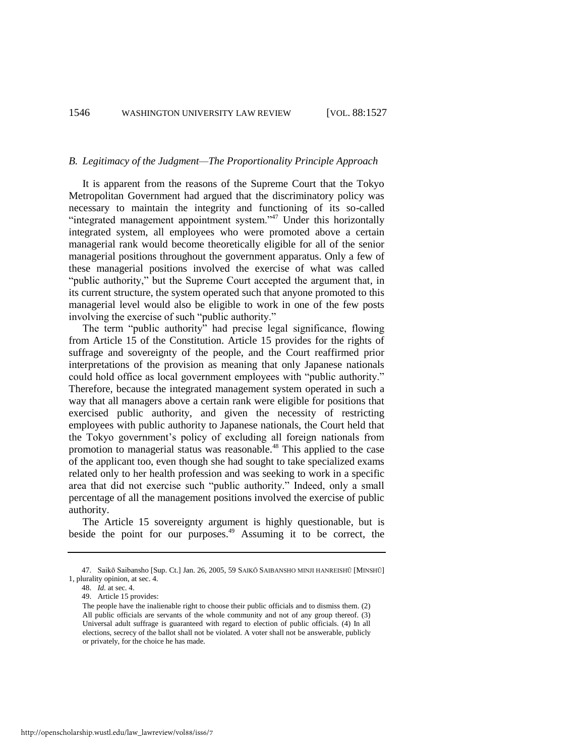#### *B. Legitimacy of the Judgment—The Proportionality Principle Approach*

It is apparent from the reasons of the Supreme Court that the Tokyo Metropolitan Government had argued that the discriminatory policy was necessary to maintain the integrity and functioning of its so-called "integrated management appointment system."<sup>47</sup> Under this horizontally integrated system, all employees who were promoted above a certain managerial rank would become theoretically eligible for all of the senior managerial positions throughout the government apparatus. Only a few of these managerial positions involved the exercise of what was called "public authority," but the Supreme Court accepted the argument that, in its current structure, the system operated such that anyone promoted to this managerial level would also be eligible to work in one of the few posts involving the exercise of such "public authority."

The term "public authority" had precise legal significance, flowing from Article 15 of the Constitution. Article 15 provides for the rights of suffrage and sovereignty of the people, and the Court reaffirmed prior interpretations of the provision as meaning that only Japanese nationals could hold office as local government employees with "public authority." Therefore, because the integrated management system operated in such a way that all managers above a certain rank were eligible for positions that exercised public authority, and given the necessity of restricting employees with public authority to Japanese nationals, the Court held that the Tokyo government's policy of excluding all foreign nationals from promotion to managerial status was reasonable.<sup>48</sup> This applied to the case of the applicant too, even though she had sought to take specialized exams related only to her health profession and was seeking to work in a specific area that did not exercise such "public authority." Indeed, only a small percentage of all the management positions involved the exercise of public authority.

The Article 15 sovereignty argument is highly questionable, but is beside the point for our purposes.<sup>49</sup> Assuming it to be correct, the

<sup>47.</sup> Saikō Saibansho [Sup. Ct.] Jan. 26, 2005, 59 SAIKŌ SAIBANSHO MINJI HANREISHŪ [MINSHŪ] 1, plurality opinion, at sec. 4.

<sup>48.</sup> *Id.* at sec. 4.

<sup>49.</sup> Article 15 provides:

The people have the inalienable right to choose their public officials and to dismiss them. (2) All public officials are servants of the whole community and not of any group thereof. (3) Universal adult suffrage is guaranteed with regard to election of public officials. (4) In all elections, secrecy of the ballot shall not be violated. A voter shall not be answerable, publicly or privately, for the choice he has made.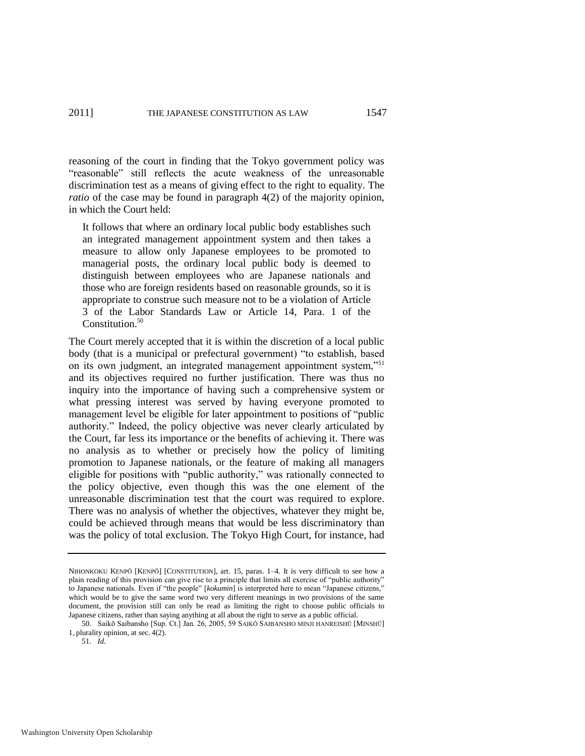reasoning of the court in finding that the Tokyo government policy was "reasonable" still reflects the acute weakness of the unreasonable discrimination test as a means of giving effect to the right to equality. The *ratio* of the case may be found in paragraph 4(2) of the majority opinion, in which the Court held:

It follows that where an ordinary local public body establishes such an integrated management appointment system and then takes a measure to allow only Japanese employees to be promoted to managerial posts, the ordinary local public body is deemed to distinguish between employees who are Japanese nationals and those who are foreign residents based on reasonable grounds, so it is appropriate to construe such measure not to be a violation of Article 3 of the Labor Standards Law or Article 14, Para. 1 of the Constitution.<sup>50</sup>

The Court merely accepted that it is within the discretion of a local public body (that is a municipal or prefectural government) "to establish, based on its own judgment, an integrated management appointment system,"<sup>51</sup> and its objectives required no further justification. There was thus no inquiry into the importance of having such a comprehensive system or what pressing interest was served by having everyone promoted to management level be eligible for later appointment to positions of "public" authority." Indeed, the policy objective was never clearly articulated by the Court, far less its importance or the benefits of achieving it. There was no analysis as to whether or precisely how the policy of limiting promotion to Japanese nationals, or the feature of making all managers eligible for positions with "public authority," was rationally connected to the policy objective, even though this was the one element of the unreasonable discrimination test that the court was required to explore. There was no analysis of whether the objectives, whatever they might be, could be achieved through means that would be less discriminatory than was the policy of total exclusion. The Tokyo High Court, for instance, had

NIHONKOKU KENPŌ [KENPŌ] [CONSTITUTION], art. 15, paras. 1–4. It is very difficult to see how a plain reading of this provision can give rise to a principle that limits all exercise of "public authority" to Japanese nationals. Even if "the people" [kokumin] is interpreted here to mean "Japanese citizens," which would be to give the same word two very different meanings in two provisions of the same document, the provision still can only be read as limiting the right to choose public officials to Japanese citizens, rather than saying anything at all about the right to serve as a public official.

<sup>50.</sup> Saikō Saibansho [Sup. Ct.] Jan. 26, 2005, 59 SAIKŌ SAIBANSHO MINJI HANREISHŪ [MINSHŪ] 1, plurality opinion, at sec. 4(2).

<sup>51.</sup> *Id.*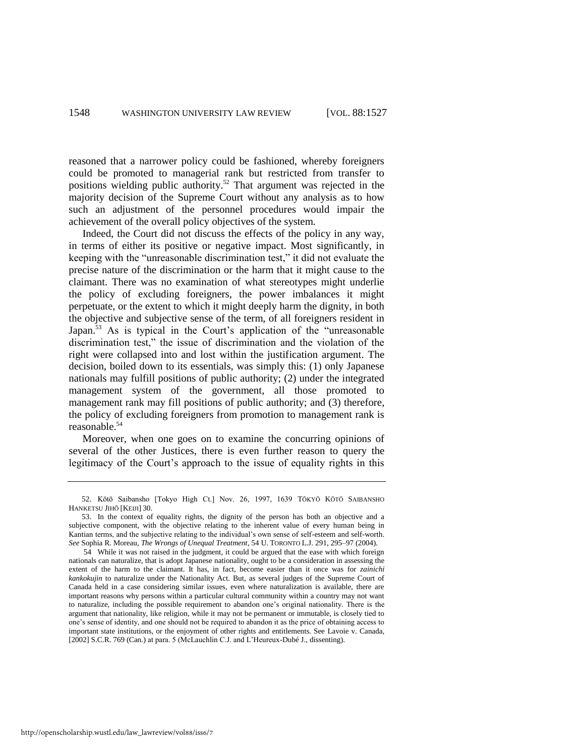reasoned that a narrower policy could be fashioned, whereby foreigners could be promoted to managerial rank but restricted from transfer to positions wielding public authority.<sup>52</sup> That argument was rejected in the majority decision of the Supreme Court without any analysis as to how such an adjustment of the personnel procedures would impair the achievement of the overall policy objectives of the system.

Indeed, the Court did not discuss the effects of the policy in any way, in terms of either its positive or negative impact. Most significantly, in keeping with the "unreasonable discrimination test," it did not evaluate the precise nature of the discrimination or the harm that it might cause to the claimant. There was no examination of what stereotypes might underlie the policy of excluding foreigners, the power imbalances it might perpetuate, or the extent to which it might deeply harm the dignity, in both the objective and subjective sense of the term, of all foreigners resident in Japan.<sup>53</sup> As is typical in the Court's application of the "unreasonable" discrimination test," the issue of discrimination and the violation of the right were collapsed into and lost within the justification argument. The decision, boiled down to its essentials, was simply this: (1) only Japanese nationals may fulfill positions of public authority; (2) under the integrated management system of the government, all those promoted to management rank may fill positions of public authority; and (3) therefore, the policy of excluding foreigners from promotion to management rank is reasonable.<sup>54</sup>

Moreover, when one goes on to examine the concurring opinions of several of the other Justices, there is even further reason to query the legitimacy of the Court's approach to the issue of equality rights in this

<sup>52.</sup> Kōtō Saibansho [Tokyo High Ct.] Nov. 26, 1997, 1639 TŌKYŌ KŌTŌ SAIBANSHO HANKETSU JIHŌ [KEIJI] 30.

<sup>53.</sup> In the context of equality rights, the dignity of the person has both an objective and a subjective component, with the objective relating to the inherent value of every human being in Kantian terms, and the subjective relating to the individual's own sense of self-esteem and self-worth. *See* Sophia R. Moreau, *The Wrongs of Unequal Treatment*, 54 U. TORONTO L.J. 291, 295–97 (2004).

<sup>54</sup> While it was not raised in the judgment, it could be argued that the ease with which foreign nationals can naturalize, that is adopt Japanese nationality, ought to be a consideration in assessing the extent of the harm to the claimant. It has, in fact, become easier than it once was for *zainichi kankokujin* to naturalize under the Nationality Act. But, as several judges of the Supreme Court of Canada held in a case considering similar issues, even where naturalization is available, there are important reasons why persons within a particular cultural community within a country may not want to naturalize, including the possible requirement to abandon one's original nationality. There is the argument that nationality, like religion, while it may not be permanent or immutable, is closely tied to one's sense of identity, and one should not be required to abandon it as the price of obtaining access to important state institutions, or the enjoyment of other rights and entitlements. See Lavoie v. Canada, [2002] S.C.R. 769 (Can.) at para. 5 (McLauchlin C.J. and L'Heureux-Dubé J., dissenting).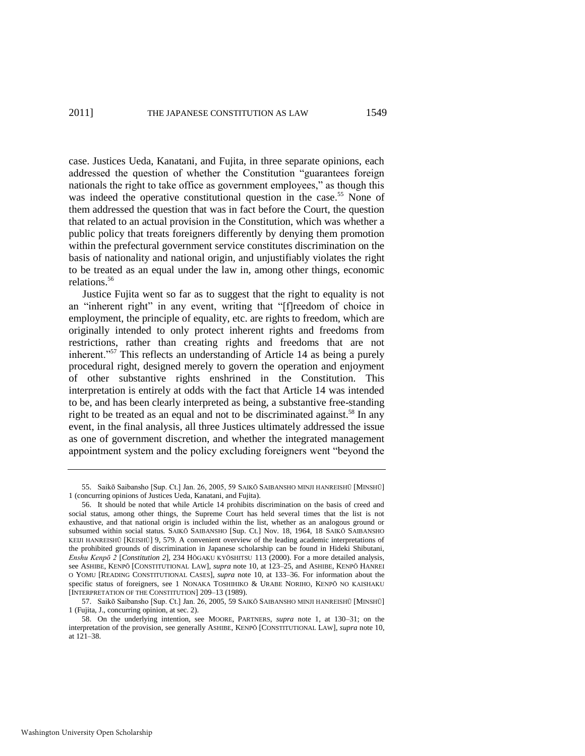case. Justices Ueda, Kanatani, and Fujita, in three separate opinions, each addressed the question of whether the Constitution "guarantees foreign nationals the right to take office as government employees," as though this was indeed the operative constitutional question in the case.<sup>55</sup> None of them addressed the question that was in fact before the Court, the question that related to an actual provision in the Constitution, which was whether a public policy that treats foreigners differently by denying them promotion within the prefectural government service constitutes discrimination on the basis of nationality and national origin, and unjustifiably violates the right to be treated as an equal under the law in, among other things, economic relations.<sup>56</sup>

Justice Fujita went so far as to suggest that the right to equality is not an "inherent right" in any event, writing that "[f]reedom of choice in employment, the principle of equality, etc. are rights to freedom, which are originally intended to only protect inherent rights and freedoms from restrictions, rather than creating rights and freedoms that are not inherent."<sup>57</sup> This reflects an understanding of Article 14 as being a purely procedural right, designed merely to govern the operation and enjoyment of other substantive rights enshrined in the Constitution. This interpretation is entirely at odds with the fact that Article 14 was intended to be, and has been clearly interpreted as being, a substantive free-standing right to be treated as an equal and not to be discriminated against.<sup>58</sup> In any event, in the final analysis, all three Justices ultimately addressed the issue as one of government discretion, and whether the integrated management appointment system and the policy excluding foreigners went "beyond the

<sup>55.</sup> Saikō Saibansho [Sup. Ct.] Jan. 26, 2005, 59 SAIKŌ SAIBANSHO MINJI HANREISHŪ [MINSHŪ] 1 (concurring opinions of Justices Ueda, Kanatani, and Fujita).

<sup>56.</sup> It should be noted that while Article 14 prohibits discrimination on the basis of creed and social status, among other things, the Supreme Court has held several times that the list is not exhaustive, and that national origin is included within the list, whether as an analogous ground or subsumed within social status. SAIKŌ SAIBANSHO [Sup. Ct.] Nov. 18, 1964, 18 SAIKŌ SAIBANSHO KEIJI HANREISHŪ [KEISHŪ] 9, 579. A convenient overview of the leading academic interpretations of the prohibited grounds of discrimination in Japanese scholarship can be found in Hideki Shibutani, *Enshu Kenpō 2* [*Constitution 2*], 234 HŌGAKU KYŌSHITSU 113 (2000). For a more detailed analysis, see ASHIBE, KENPŌ [CONSTITUTIONAL LAW], *supra* not[e 10,](#page-6-0) at 123–25, and ASHIBE, KENPŌ HANREI O YOMU [READING CONSTITUTIONAL CASES], *supra* note [10,](#page-6-0) at 133–36. For information about the specific status of foreigners, see 1 NONAKA TOSHIHIKO & URABE NORIHO, KENPŌ NO KAISHAKU [INTERPRETATION OF THE CONSTITUTION] 209–13 (1989).

<sup>57.</sup> Saikō Saibansho [Sup. Ct.] Jan. 26, 2005, 59 SAIKŌ SAIBANSHO MINJI HANREISHŪ [MINSHŪ] 1 (Fujita, J., concurring opinion, at sec. 2).

<sup>58.</sup> On the underlying intention, see MOORE, PARTNERS, *supra* note [1,](#page-1-2) at 130–31; on the interpretation of the provision, see generally ASHIBE, KENPŌ [CONSTITUTIONAL LAW], *supra* not[e 10,](#page-6-0)  at 121–38.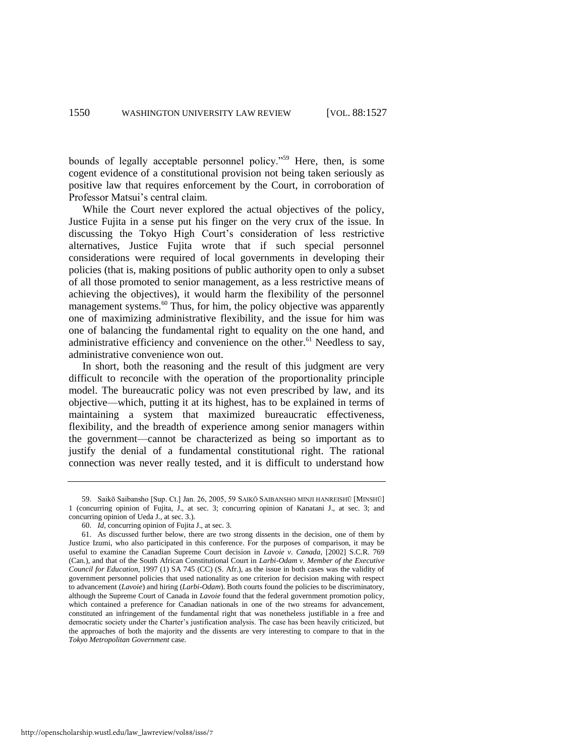bounds of legally acceptable personnel policy."<sup>59</sup> Here, then, is some cogent evidence of a constitutional provision not being taken seriously as positive law that requires enforcement by the Court, in corroboration of Professor Matsui's central claim.

While the Court never explored the actual objectives of the policy, Justice Fujita in a sense put his finger on the very crux of the issue. In discussing the Tokyo High Court's consideration of less restrictive alternatives, Justice Fujita wrote that if such special personnel considerations were required of local governments in developing their policies (that is, making positions of public authority open to only a subset of all those promoted to senior management, as a less restrictive means of achieving the objectives), it would harm the flexibility of the personnel management systems.<sup>60</sup> Thus, for him, the policy objective was apparently one of maximizing administrative flexibility, and the issue for him was one of balancing the fundamental right to equality on the one hand, and administrative efficiency and convenience on the other.<sup>61</sup> Needless to say, administrative convenience won out.

In short, both the reasoning and the result of this judgment are very difficult to reconcile with the operation of the proportionality principle model. The bureaucratic policy was not even prescribed by law, and its objective—which, putting it at its highest, has to be explained in terms of maintaining a system that maximized bureaucratic effectiveness, flexibility, and the breadth of experience among senior managers within the government—cannot be characterized as being so important as to justify the denial of a fundamental constitutional right. The rational connection was never really tested, and it is difficult to understand how

<sup>59.</sup> Saikō Saibansho [Sup. Ct.] Jan. 26, 2005, 59 SAIKŌ SAIBANSHO MINJI HANREISHŪ [MINSHŪ] 1 (concurring opinion of Fujita, J., at sec. 3; concurring opinion of Kanatani J., at sec. 3; and concurring opinion of Ueda J., at sec. 3.).

<sup>60.</sup> *Id*, concurring opinion of Fujita J., at sec. 3.

<sup>61.</sup> As discussed further below, there are two strong dissents in the decision, one of them by Justice Izumi, who also participated in this conference. For the purposes of comparison, it may be useful to examine the Canadian Supreme Court decision in *Lavoie v. Canada*, [2002] S.C.R. 769 (Can.), and that of the South African Constitutional Court in *Larbi-Odam v. Member of the Executive Council for Education*, 1997 (1) SA 745 (CC) (S. Afr.), as the issue in both cases was the validity of government personnel policies that used nationality as one criterion for decision making with respect to advancement (*Lavoie*) and hiring (*Larbi-Odam*). Both courts found the policies to be discriminatory, although the Supreme Court of Canada in *Lavoie* found that the federal government promotion policy, which contained a preference for Canadian nationals in one of the two streams for advancement, constituted an infringement of the fundamental right that was nonetheless justifiable in a free and democratic society under the Charter's justification analysis. The case has been heavily criticized, but the approaches of both the majority and the dissents are very interesting to compare to that in the *Tokyo Metropolitan Government* case.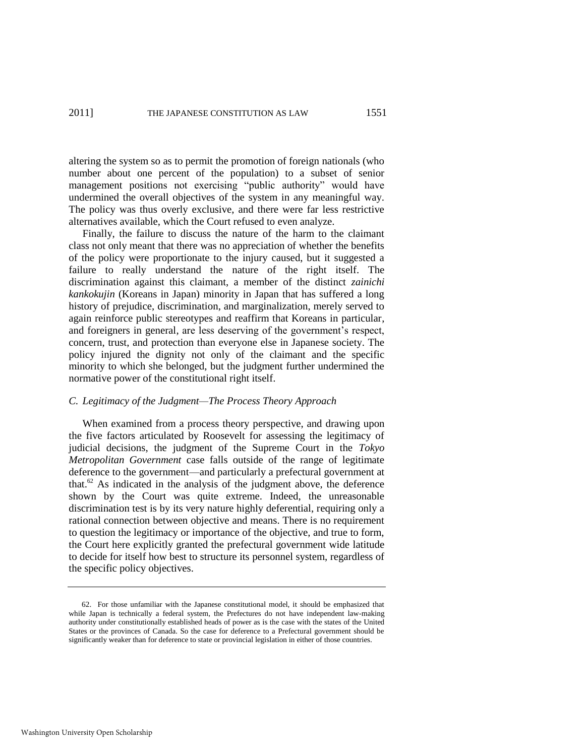altering the system so as to permit the promotion of foreign nationals (who number about one percent of the population) to a subset of senior management positions not exercising "public authority" would have undermined the overall objectives of the system in any meaningful way. The policy was thus overly exclusive, and there were far less restrictive alternatives available, which the Court refused to even analyze.

Finally, the failure to discuss the nature of the harm to the claimant class not only meant that there was no appreciation of whether the benefits of the policy were proportionate to the injury caused, but it suggested a failure to really understand the nature of the right itself. The discrimination against this claimant, a member of the distinct *zainichi kankokujin* (Koreans in Japan) minority in Japan that has suffered a long history of prejudice, discrimination, and marginalization, merely served to again reinforce public stereotypes and reaffirm that Koreans in particular, and foreigners in general, are less deserving of the government's respect, concern, trust, and protection than everyone else in Japanese society. The policy injured the dignity not only of the claimant and the specific minority to which she belonged, but the judgment further undermined the normative power of the constitutional right itself.

# *C. Legitimacy of the Judgment—The Process Theory Approach*

When examined from a process theory perspective, and drawing upon the five factors articulated by Roosevelt for assessing the legitimacy of judicial decisions, the judgment of the Supreme Court in the *Tokyo Metropolitan Government* case falls outside of the range of legitimate deference to the government—and particularly a prefectural government at that. $62$  As indicated in the analysis of the judgment above, the deference shown by the Court was quite extreme. Indeed, the unreasonable discrimination test is by its very nature highly deferential, requiring only a rational connection between objective and means. There is no requirement to question the legitimacy or importance of the objective, and true to form, the Court here explicitly granted the prefectural government wide latitude to decide for itself how best to structure its personnel system, regardless of the specific policy objectives.

<sup>62.</sup> For those unfamiliar with the Japanese constitutional model, it should be emphasized that while Japan is technically a federal system, the Prefectures do not have independent law-making authority under constitutionally established heads of power as is the case with the states of the United States or the provinces of Canada. So the case for deference to a Prefectural government should be significantly weaker than for deference to state or provincial legislation in either of those countries.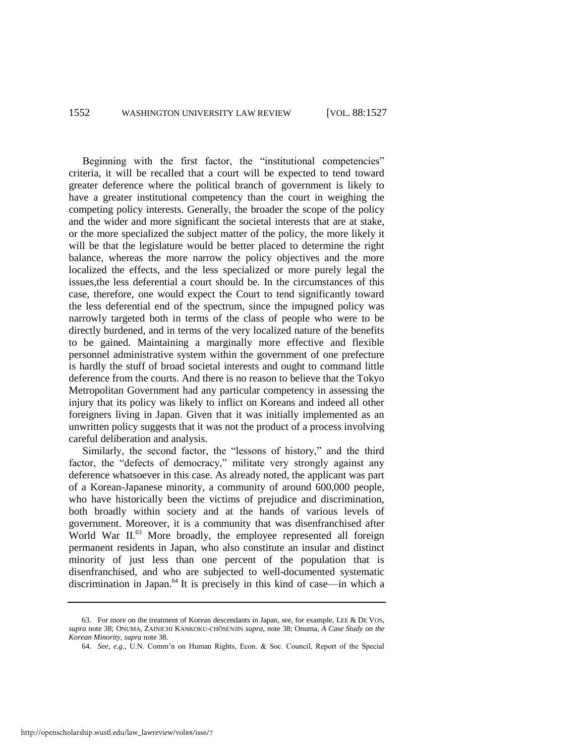Beginning with the first factor, the "institutional competencies" criteria, it will be recalled that a court will be expected to tend toward greater deference where the political branch of government is likely to have a greater institutional competency than the court in weighing the competing policy interests. Generally, the broader the scope of the policy and the wider and more significant the societal interests that are at stake, or the more specialized the subject matter of the policy, the more likely it will be that the legislature would be better placed to determine the right balance, whereas the more narrow the policy objectives and the more localized the effects, and the less specialized or more purely legal the issues,the less deferential a court should be. In the circumstances of this case, therefore, one would expect the Court to tend significantly toward the less deferential end of the spectrum, since the impugned policy was narrowly targeted both in terms of the class of people who were to be directly burdened, and in terms of the very localized nature of the benefits to be gained. Maintaining a marginally more effective and flexible personnel administrative system within the government of one prefecture is hardly the stuff of broad societal interests and ought to command little deference from the courts. And there is no reason to believe that the Tokyo Metropolitan Government had any particular competency in assessing the injury that its policy was likely to inflict on Koreans and indeed all other foreigners living in Japan. Given that it was initially implemented as an unwritten policy suggests that it was not the product of a process involving careful deliberation and analysis.

Similarly, the second factor, the "lessons of history," and the third factor, the "defects of democracy," militate very strongly against any deference whatsoever in this case. As already noted, the applicant was part of a Korean-Japanese minority, a community of around 600,000 people, who have historically been the victims of prejudice and discrimination, both broadly within society and at the hands of various levels of government. Moreover, it is a community that was disenfranchised after World War II.<sup>63</sup> More broadly, the employee represented all foreign permanent residents in Japan, who also constitute an insular and distinct minority of just less than one percent of the population that is disenfranchised, and who are subjected to well-documented systematic discrimination in Japan.<sup>64</sup> It is precisely in this kind of case—in which a

<sup>63.</sup> For more on the treatment of Korean descendants in Japan, see, for example, LEE & DE VOS, *supra* note [38;](#page-17-0) ONUMA, ZAINICHI KANKOKU-CHŌSENJIN *supra*, note [38;](#page-17-0) Onuma, *A Case Study on the Korean Minority*, *supra* not[e 38.](#page-17-0)

<sup>64.</sup> *See, e.g.*, U.N. Comm'n on Human Rights, Econ. & Soc. Council, Report of the Special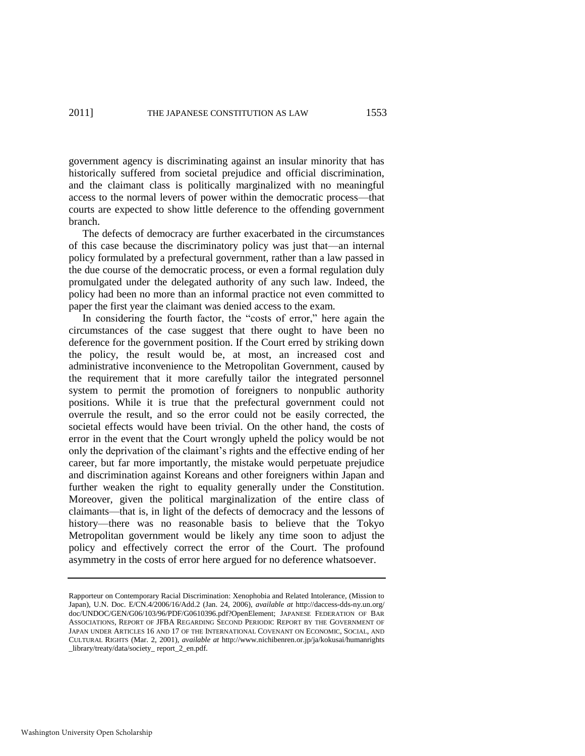government agency is discriminating against an insular minority that has historically suffered from societal prejudice and official discrimination, and the claimant class is politically marginalized with no meaningful access to the normal levers of power within the democratic process—that courts are expected to show little deference to the offending government branch.

The defects of democracy are further exacerbated in the circumstances of this case because the discriminatory policy was just that—an internal policy formulated by a prefectural government, rather than a law passed in the due course of the democratic process, or even a formal regulation duly promulgated under the delegated authority of any such law. Indeed, the policy had been no more than an informal practice not even committed to paper the first year the claimant was denied access to the exam.

In considering the fourth factor, the "costs of error," here again the circumstances of the case suggest that there ought to have been no deference for the government position. If the Court erred by striking down the policy, the result would be, at most, an increased cost and administrative inconvenience to the Metropolitan Government, caused by the requirement that it more carefully tailor the integrated personnel system to permit the promotion of foreigners to nonpublic authority positions. While it is true that the prefectural government could not overrule the result, and so the error could not be easily corrected, the societal effects would have been trivial. On the other hand, the costs of error in the event that the Court wrongly upheld the policy would be not only the deprivation of the claimant's rights and the effective ending of her career, but far more importantly, the mistake would perpetuate prejudice and discrimination against Koreans and other foreigners within Japan and further weaken the right to equality generally under the Constitution. Moreover, given the political marginalization of the entire class of claimants—that is, in light of the defects of democracy and the lessons of history—there was no reasonable basis to believe that the Tokyo Metropolitan government would be likely any time soon to adjust the policy and effectively correct the error of the Court. The profound asymmetry in the costs of error here argued for no deference whatsoever.

Washington University Open Scholarship

Rapporteur on Contemporary Racial Discrimination: Xenophobia and Related Intolerance, (Mission to Japan), U.N. Doc. E/CN.4/2006/16/Add.2 (Jan. 24, 2006), *available at* http://daccess-dds-ny.un.org/ doc/UNDOC/GEN/G06/103/96/PDF/G0610396.pdf?OpenElement; JAPANESE FEDERATION OF BAR ASSOCIATIONS, REPORT OF JFBA REGARDING SECOND PERIODIC REPORT BY THE GOVERNMENT OF JAPAN UNDER ARTICLES 16 AND 17 OF THE INTERNATIONAL COVENANT ON ECONOMIC, SOCIAL, AND CULTURAL RIGHTS (Mar. 2, 2001), *available at* http://www.nichibenren.or.jp/ja/kokusai/humanrights library/treaty/data/society\_report\_2\_en.pdf.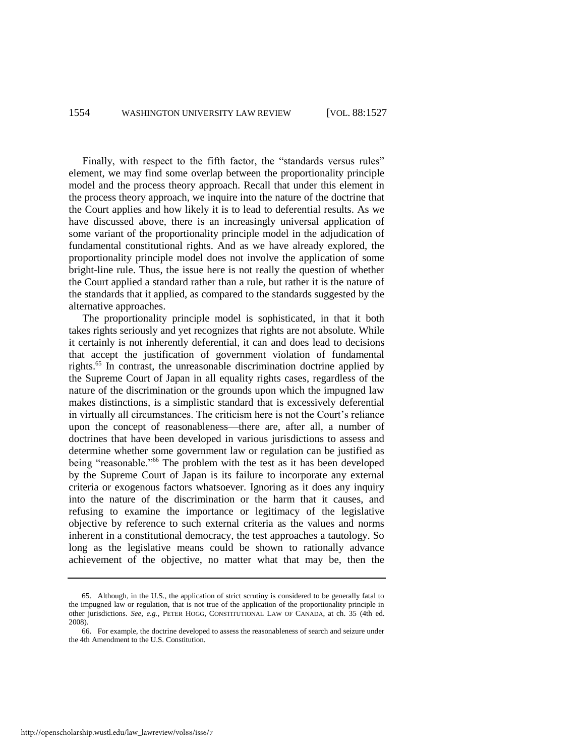Finally, with respect to the fifth factor, the "standards versus rules" element, we may find some overlap between the proportionality principle model and the process theory approach. Recall that under this element in the process theory approach, we inquire into the nature of the doctrine that the Court applies and how likely it is to lead to deferential results. As we have discussed above, there is an increasingly universal application of some variant of the proportionality principle model in the adjudication of fundamental constitutional rights. And as we have already explored, the proportionality principle model does not involve the application of some bright-line rule. Thus, the issue here is not really the question of whether the Court applied a standard rather than a rule, but rather it is the nature of the standards that it applied, as compared to the standards suggested by the alternative approaches.

The proportionality principle model is sophisticated, in that it both takes rights seriously and yet recognizes that rights are not absolute. While it certainly is not inherently deferential, it can and does lead to decisions that accept the justification of government violation of fundamental rights.<sup>65</sup> In contrast, the unreasonable discrimination doctrine applied by the Supreme Court of Japan in all equality rights cases, regardless of the nature of the discrimination or the grounds upon which the impugned law makes distinctions, is a simplistic standard that is excessively deferential in virtually all circumstances. The criticism here is not the Court's reliance upon the concept of reasonableness—there are, after all, a number of doctrines that have been developed in various jurisdictions to assess and determine whether some government law or regulation can be justified as being "reasonable."<sup>66</sup> The problem with the test as it has been developed by the Supreme Court of Japan is its failure to incorporate any external criteria or exogenous factors whatsoever. Ignoring as it does any inquiry into the nature of the discrimination or the harm that it causes, and refusing to examine the importance or legitimacy of the legislative objective by reference to such external criteria as the values and norms inherent in a constitutional democracy, the test approaches a tautology. So long as the legislative means could be shown to rationally advance achievement of the objective, no matter what that may be, then the

<sup>65.</sup> Although, in the U.S., the application of strict scrutiny is considered to be generally fatal to the impugned law or regulation, that is not true of the application of the proportionality principle in other jurisdictions. *See, e.g.*, PETER HOGG, CONSTITUTIONAL LAW OF CANADA, at ch. 35 (4th ed. 2008).

<sup>66.</sup> For example, the doctrine developed to assess the reasonableness of search and seizure under the 4th Amendment to the U.S. Constitution.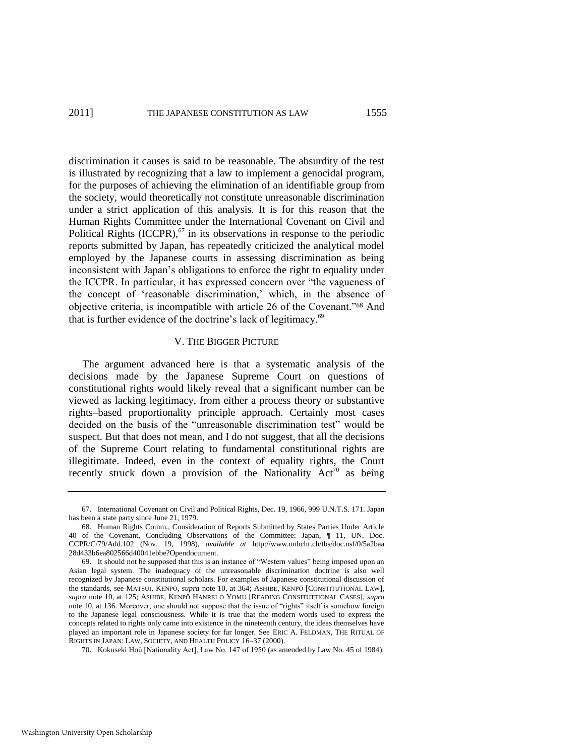discrimination it causes is said to be reasonable. The absurdity of the test is illustrated by recognizing that a law to implement a genocidal program, for the purposes of achieving the elimination of an identifiable group from the society, would theoretically not constitute unreasonable discrimination under a strict application of this analysis. It is for this reason that the Human Rights Committee under the International Covenant on Civil and Political Rights  $(ICCPR)$ ,<sup>67</sup> in its observations in response to the periodic reports submitted by Japan, has repeatedly criticized the analytical model employed by the Japanese courts in assessing discrimination as being inconsistent with Japan's obligations to enforce the right to equality under the ICCPR. In particular, it has expressed concern over "the vagueness of the concept of 'reasonable discrimination,' which, in the absence of objective criteria, is incompatible with article 26 of the Covenant."<sup>68</sup> And that is further evidence of the doctrine's lack of legitimacy.<sup>69</sup>

# V. THE BIGGER PICTURE

The argument advanced here is that a systematic analysis of the decisions made by the Japanese Supreme Court on questions of constitutional rights would likely reveal that a significant number can be viewed as lacking legitimacy, from either a process theory or substantive rights–based proportionality principle approach. Certainly most cases decided on the basis of the "unreasonable discrimination test" would be suspect. But that does not mean, and I do not suggest, that all the decisions of the Supreme Court relating to fundamental constitutional rights are illegitimate. Indeed, even in the context of equality rights, the Court recently struck down a provision of the Nationality  $Act^{70}$  as being

70. Kokuseki Hoū [Nationality Act], Law No. 147 of 1950 (as amended by Law No. 45 of 1984).

<sup>67.</sup> International Covenant on Civil and Political Rights, Dec. 19, 1966, 999 U.N.T.S. 171. Japan has been a state party since June 21, 1979.

<sup>68.</sup> Human Rights Comm., Consideration of Reports Submitted by States Parties Under Article 40 of the Covenant, Concluding Observations of the Committee: Japan, ¶ 11, UN. Doc. CCPR/C/79/Add.102 (Nov. 19, 1998), *available at* http://www.unhchr.ch/tbs/doc.nsf/0/5a2baa 28d433b6ea802566d40041ebbe?Opendocument.

<sup>69.</sup> It should not be supposed that this is an instance of "Western values" being imposed upon an Asian legal system. The inadequacy of the unreasonable discrimination doctrine is also well recognized by Japanese constitutional scholars. For examples of Japanese constitutional discussion of the standards, see MATSUI, KENPŌ, *supra* note [10,](#page-6-0) at 364; ASHIBE, KENPŌ [CONSTITUTIONAL LAW], *supra* note [10,](#page-6-0) at 125; ASHIBE, KENPŌ HANREI O YOMU [READING CONSITUTTIONAL CASES], *supra* note [10,](#page-6-0) at 136. Moreover, one should not suppose that the issue of "rights" itself is somehow foreign to the Japanese legal consciousness. While it is true that the modern words used to express the concepts related to rights only came into existence in the nineteenth century, the ideas themselves have played an important role in Japanese society for far longer. See ERIC A. FELDMAN, THE RITUAL OF RIGHTS IN JAPAN: LAW, SOCIETY, AND HEALTH POLICY 16–37 (2000).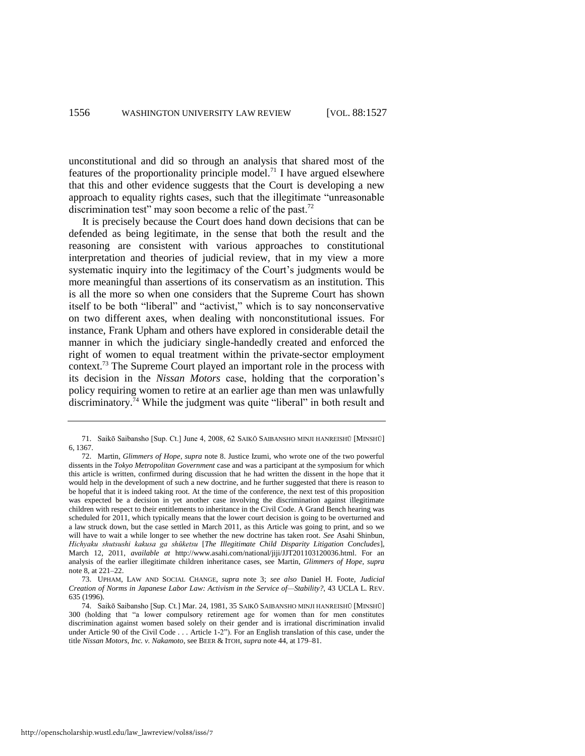unconstitutional and did so through an analysis that shared most of the features of the proportionality principle model.<sup>71</sup> I have argued elsewhere that this and other evidence suggests that the Court is developing a new approach to equality rights cases, such that the illegitimate "unreasonable" discrimination test" may soon become a relic of the past.<sup>72</sup>

It is precisely because the Court does hand down decisions that can be defended as being legitimate, in the sense that both the result and the reasoning are consistent with various approaches to constitutional interpretation and theories of judicial review, that in my view a more systematic inquiry into the legitimacy of the Court's judgments would be more meaningful than assertions of its conservatism as an institution. This is all the more so when one considers that the Supreme Court has shown itself to be both "liberal" and "activist," which is to say nonconservative on two different axes, when dealing with nonconstitutional issues. For instance, Frank Upham and others have explored in considerable detail the manner in which the judiciary single-handedly created and enforced the right of women to equal treatment within the private-sector employment context.<sup>73</sup> The Supreme Court played an important role in the process with its decision in the *Nissan Motors* case, holding that the corporation's policy requiring women to retire at an earlier age than men was unlawfully discriminatory.<sup>74</sup> While the judgment was quite "liberal" in both result and

<sup>71.</sup> Saikō Saibansho [Sup. Ct.] June 4, 2008, 62 SAIKŌ SAIBANSHO MINJI HANREISHŪ [MINSHŪ] 6, 1367.

<sup>72.</sup> Martin, *Glimmers of Hope*, *supra* note [8.](#page-4-0) Justice Izumi, who wrote one of the two powerful dissents in the *Tokyo Metropolitan Government* case and was a participant at the symposium for which this article is written, confirmed during discussion that he had written the dissent in the hope that it would help in the development of such a new doctrine, and he further suggested that there is reason to be hopeful that it is indeed taking root. At the time of the conference, the next test of this proposition was expected be a decision in yet another case involving the discrimination against illegitimate children with respect to their entitlements to inheritance in the Civil Code. A Grand Bench hearing was scheduled for 2011, which typically means that the lower court decision is going to be overturned and a law struck down, but the case settled in March 2011, as this Article was going to print, and so we will have to wait a while longer to see whether the new doctrine has taken root. *See* Asahi Shinbun, *Hichyaku shutsushi kakusa ga shūketsu* [*The Illegitimate Child Disparity Litigation Concludes*], March 12, 2011, *available at* http://www.asahi.com/national/jiji/JJT201103120036.html. For an analysis of the earlier illegitimate children inheritance cases, see Martin, *Glimmers of Hope, supra* note [8,](#page-4-0) at 221–22.

<sup>73.</sup> UPHAM, LAW AND SOCIAL CHANGE, *supra* note [3;](#page-1-1) *see also* Daniel H. Foote, *Judicial Creation of Norms in Japanese Labor Law: Activism in the Service of—Stability?*, 43 UCLA L. REV. 635 (1996).

<sup>74.</sup> Saikō Saibansho [Sup. Ct.] Mar. 24, 1981, 35 SAIKŌ SAIBANSHO MINJI HANREISHŪ [MINSHŪ] 300 (holding that "a lower compulsory retirement age for women than for men constitutes discrimination against women based solely on their gender and is irrational discrimination invalid under Article 90 of the Civil Code . . . Article 1-2"). For an English translation of this case, under the title *Nissan Motors, Inc. v. Nakamoto*, see BEER & ITOH, *supra* not[e 44,](#page-19-0) at 179–81.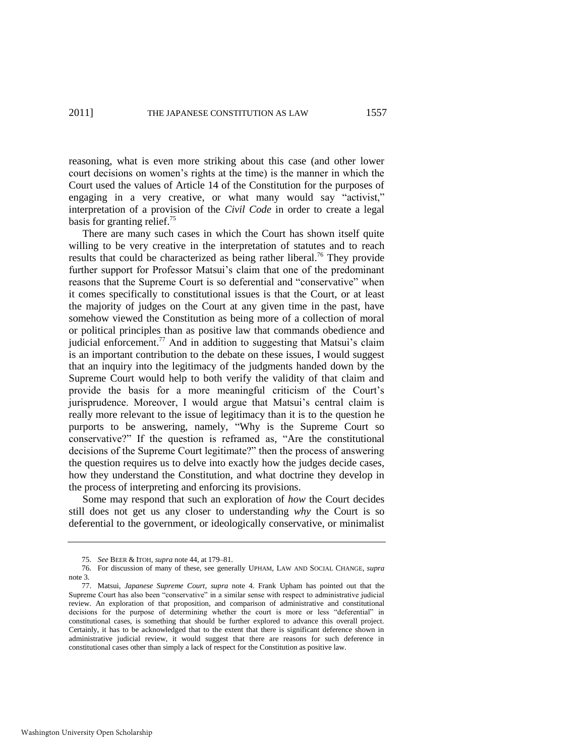reasoning, what is even more striking about this case (and other lower court decisions on women's rights at the time) is the manner in which the Court used the values of Article 14 of the Constitution for the purposes of engaging in a very creative, or what many would say "activist," interpretation of a provision of the *Civil Code* in order to create a legal basis for granting relief.<sup>75</sup>

There are many such cases in which the Court has shown itself quite willing to be very creative in the interpretation of statutes and to reach results that could be characterized as being rather liberal.<sup>76</sup> They provide further support for Professor Matsui's claim that one of the predominant reasons that the Supreme Court is so deferential and "conservative" when it comes specifically to constitutional issues is that the Court, or at least the majority of judges on the Court at any given time in the past, have somehow viewed the Constitution as being more of a collection of moral or political principles than as positive law that commands obedience and judicial enforcement.<sup>77</sup> And in addition to suggesting that Matsui's claim is an important contribution to the debate on these issues, I would suggest that an inquiry into the legitimacy of the judgments handed down by the Supreme Court would help to both verify the validity of that claim and provide the basis for a more meaningful criticism of the Court's jurisprudence. Moreover, I would argue that Matsui's central claim is really more relevant to the issue of legitimacy than it is to the question he purports to be answering, namely, "Why is the Supreme Court so conservative?" If the question is reframed as, "Are the constitutional decisions of the Supreme Court legitimate?" then the process of answering the question requires us to delve into exactly how the judges decide cases, how they understand the Constitution, and what doctrine they develop in the process of interpreting and enforcing its provisions.

Some may respond that such an exploration of *how* the Court decides still does not get us any closer to understanding *why* the Court is so deferential to the government, or ideologically conservative, or minimalist

<sup>75.</sup> *See* BEER & ITOH, *supra* not[e 44,](#page-19-0) at 179–81.

<sup>76.</sup> For discussion of many of these, see generally UPHAM, LAW AND SOCIAL CHANGE, *supra* note [3.](#page-1-1) 

<sup>77.</sup> Matsui, *Japanese Supreme Court*, *supra* note [4.](#page-2-0) Frank Upham has pointed out that the Supreme Court has also been "conservative" in a similar sense with respect to administrative judicial review. An exploration of that proposition, and comparison of administrative and constitutional decisions for the purpose of determining whether the court is more or less "deferential" in constitutional cases, is something that should be further explored to advance this overall project. Certainly, it has to be acknowledged that to the extent that there is significant deference shown in administrative judicial review, it would suggest that there are reasons for such deference in constitutional cases other than simply a lack of respect for the Constitution as positive law.